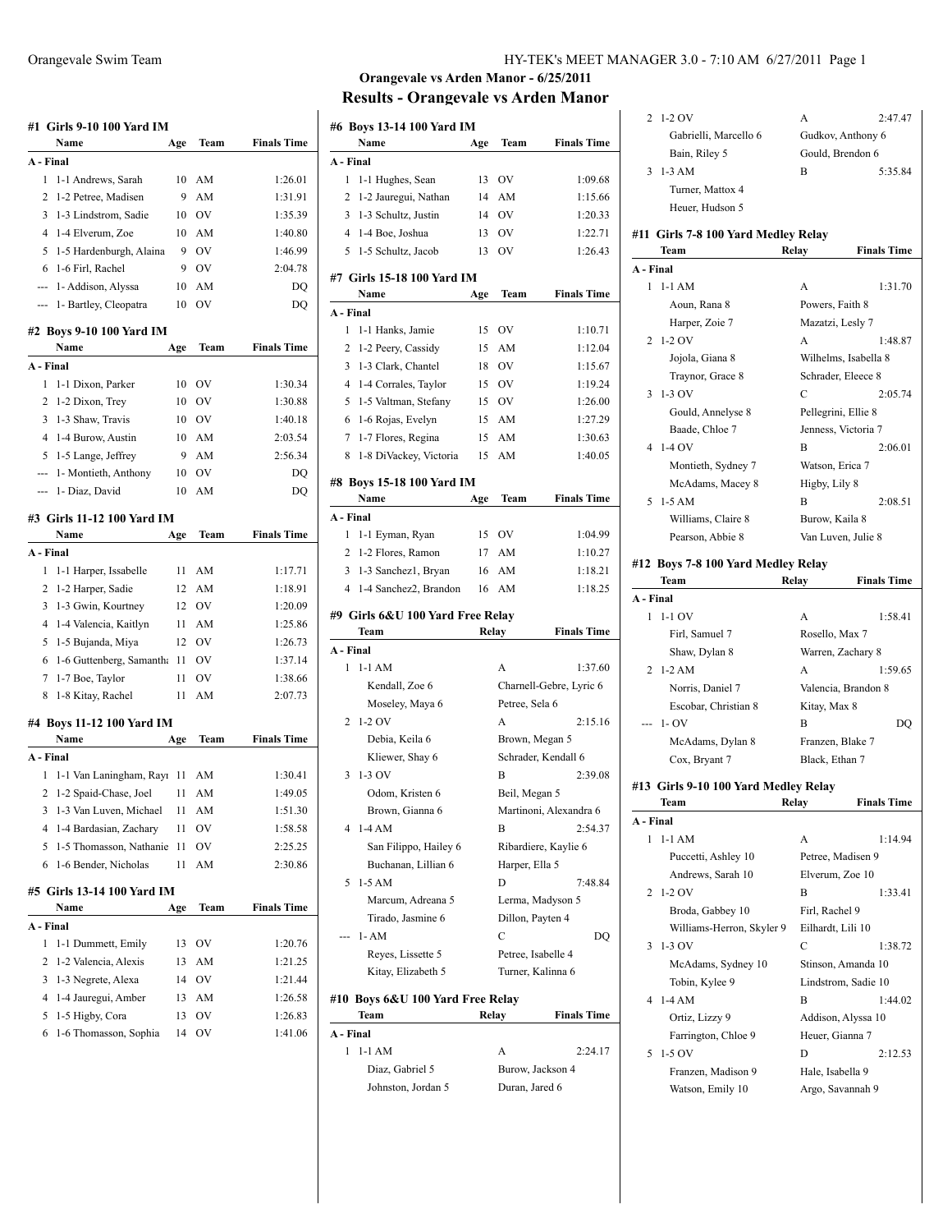|           | #1 Girls 9-10 100 Yard IM  |     |                |                    |
|-----------|----------------------------|-----|----------------|--------------------|
|           | Name                       | Age | Team           | <b>Finals Time</b> |
| A - Final |                            |     |                |                    |
| 1         | 1-1 Andrews, Sarah         | 10  | AM             | 1:26.01            |
| 2         | 1-2 Petree, Madisen        | 9   | AM             | 1:31.91            |
| 3         | 1-3 Lindstrom, Sadie       | 10  | <b>OV</b>      | 1:35.39            |
| 4         | 1-4 Elverum, Zoe           | 10  | AM             | 1:40.80            |
| 5         | 1-5 Hardenburgh, Alaina    | 9   | OV             | 1:46.99            |
| 6         | 1-6 Firl, Rachel           | 9   | <b>OV</b>      | 2:04.78            |
| ---       | 1- Addison, Alyssa         | 10  | AM             | DQ                 |
| ---       | 1- Bartley, Cleopatra      | 10  | OV             | DQ                 |
|           | #2 Boys 9-10 100 Yard IM   |     |                |                    |
|           | Name                       | Age | Team           | <b>Finals Time</b> |
| A - Final |                            |     |                |                    |
| 1         | 1-1 Dixon, Parker          | 10  | OV             | 1:30.34            |
| 2         | 1-2 Dixon, Trey            | 10  | OV             | 1:30.88            |
| 3         | 1-3 Shaw, Travis           | 10  | - OV           | 1:40.18            |
| 4         | 1-4 Burow, Austin          | 10  | AM             | 2:03.54            |
| 5         | 1-5 Lange, Jeffrey         | 9   | AM             | 2:56.34            |
| ---       | 1- Montieth, Anthony       | 10  | O <sub>V</sub> | DO                 |
| ---       | 1- Diaz, David             | 10  | AM             | DQ                 |
|           | #3 Girls 11-12 100 Yard IM |     |                |                    |
|           | Name                       | Age | Team           | <b>Finals Time</b> |
| A - Final |                            |     |                |                    |
| 1         | 1-1 Harper, Issabelle      | 11  | AМ             | 1:17.71            |
| 2         | 1-2 Harper, Sadie          | 12  | AM             | 1:18.91            |
| 3         | 1-3 Gwin, Kourtney         | 12  | <b>OV</b>      | 1:20.09            |
| 4         | 1-4 Valencia, Kaitlyn      | 11  | AM             | 1:25.86            |
| 5         | 1-5 Bujanda, Miya          | 12  | OV             | 1:26.73            |
| 6         | 1-6 Guttenberg, Samantha   | 11  | OV             | 1:37.14            |
| 7         | 1-7 Boe, Taylor            | 11  | OV             | 1:38.66            |
| 8         | 1-8 Kitay, Rachel          | 11  | AM             | 2:07.73            |
|           |                            |     |                |                    |
|           | #4 Boys 11-12 100 Yard IM  |     |                |                    |
|           | Name                       | Age | Team           | <b>Finals Time</b> |
| A - Final |                            |     |                |                    |
| 1         | 1-1 Van Laningham, Rayı    | 11  | AM             | 1:30.41            |
| 2         | 1-2 Spaid-Chase, Joel      | 11  | AM             | 1:49.05            |
| 3         | 1-3 Van Luven, Michael     | 11  | AM             | 1:51.30            |
| 4         | 1-4 Bardasian, Zachary     | 11  | OV             | 1:58.58            |
| 5         | 1-5 Thomasson, Nathanie    | 11  | OV             | 2:25.25            |
| 6         | 1-6 Bender, Nicholas       | 11  | AM             | 2:30.86            |
|           | #5 Girls 13-14 100 Yard IM |     |                |                    |
|           | Name                       | Age | Team           | <b>Finals Time</b> |
| A - Final |                            |     |                |                    |
| 1         | 1-1 Dummett, Emily         | 13  | OV             | 1:20.76            |
| 2         | 1-2 Valencia, Alexis       | 13  | AM             | 1:21.25            |
| 3         | 1-3 Negrete, Alexa         | 14  | OV             | 1:21.44            |
| 4         | 1-4 Jauregui, Amber        | 13  | AM             | 1:26.58            |
| 5         | 1-5 Higby, Cora            | 13  | OV             | 1:26.83            |
| 6         | 1-6 Thomasson, Sophia      | 14  | OV             | 1:41.06            |

#### Orangevale Swim Team HY-TEK's MEET MANAGER 3.0 - 7:10 AM 6/27/2011 Page 1

|                | #6 Boys 13-14 100 Yard IM                |     |                        |                                   |
|----------------|------------------------------------------|-----|------------------------|-----------------------------------|
|                | Name                                     | Age | Team                   | <b>Finals Time</b>                |
| A - Final      |                                          |     |                        |                                   |
| 1              | 1-1 Hughes, Sean                         | 13  | OV                     | 1:09.68                           |
| 2              | 1-2 Jauregui, Nathan                     | 14  | AM                     | 1:15.66                           |
| 3              | 1-3 Schultz, Justin                      | 14  | OV                     | 1:20.33                           |
| 4              | 1-4 Boe, Joshua                          | 13  | OV                     | 1:22.71                           |
| 5              | 1-5 Schultz, Jacob                       | 13  | OV                     | 1:26.43                           |
|                | #7 Girls 15-18 100 Yard IM               |     |                        |                                   |
|                | Name                                     | Age | Team                   | <b>Finals Time</b>                |
| A - Final      |                                          |     |                        |                                   |
| 1              | 1-1 Hanks, Jamie                         | 15  | OV                     | 1:10.71                           |
| 2              | 1-2 Peery, Cassidy                       | 15  | AM                     | 1:12.04                           |
| 3              | 1-3 Clark, Chantel                       | 18  | OV                     | 1:15.67                           |
| $\overline{4}$ | 1-4 Corrales, Taylor                     | 15  | <b>OV</b>              | 1:19.24                           |
| 5              | 1-5 Valtman, Stefany                     | 15  | $\rm OV$               | 1:26.00                           |
| 6              | 1-6 Rojas, Evelyn                        | 15  | AM                     | 1:27.29                           |
| 7              | 1-7 Flores, Regina                       | 15  | AM                     | 1:30.63                           |
| 8              | 1-8 DiVackey, Victoria                   | 15  | AM                     | 1:40.05                           |
|                | #8 Boys 15-18 100 Yard IM                |     |                        |                                   |
|                | Name                                     | Age | Team                   | <b>Finals Time</b>                |
| A - Final      |                                          |     |                        |                                   |
| 1              | 1-1 Eyman, Ryan                          | 15  | $\rm OV$               | 1:04.99                           |
| 2              | 1-2 Flores, Ramon                        | 17  | AM                     | 1:10.27                           |
| 3              | 1-3 Sanchez1, Bryan                      | 16  | $\mathbf{A}\mathbf{M}$ | 1:18.21                           |
| 4              | 1-4 Sanchez2, Brandon                    | 16  | AM                     | 1:18.25                           |
|                |                                          |     |                        |                                   |
|                |                                          |     |                        |                                   |
|                | #9  Girls 6&U 100 Yard Free Relay        |     |                        |                                   |
|                | Team                                     |     | Relay                  | <b>Finals Time</b>                |
| A - Final<br>1 | $1-1$ AM                                 |     | A                      | 1:37.60                           |
|                |                                          |     |                        |                                   |
|                | Kendall, Zoe 6                           |     |                        | Charnell-Gebre, Lyric 6           |
| 2              | Moseley, Maya 6<br>$1-2$ OV              |     | Petree, Sela 6<br>A    | 2:15.16                           |
|                |                                          |     |                        |                                   |
|                | Debia, Keila 6                           |     | Brown, Megan 5         | Schrader, Kendall 6               |
| 3              | Kliewer, Shay 6<br>$1-3$ OV              |     | В                      |                                   |
|                | Odom, Kristen 6                          |     |                        | 2:39.08                           |
|                |                                          |     | Beil, Megan 5          |                                   |
| 4              | Brown, Gianna 6<br>1-4 AM                |     | В                      | Martinoni, Alexandra 6<br>2:54.37 |
|                |                                          |     |                        |                                   |
|                | San Filippo, Hailey 6                    |     |                        | Ribardiere, Kaylie 6              |
| 5              | Buchanan, Lillian 6<br>$1-5$ AM          |     | Harper, Ella 5<br>D    | 7:48.84                           |
|                |                                          |     | Lerma, Madyson 5       |                                   |
|                | Marcum, Adreana 5                        |     |                        |                                   |
|                | Tirado, Jasmine 6<br>$1 - AM$            |     | Dillon, Payten 4<br>C  | DQ                                |
|                | Reyes, Lissette 5                        |     | Petree, Isabelle 4     |                                   |
|                | Kitay, Elizabeth 5                       |     | Turner, Kalinna 6      |                                   |
|                |                                          |     |                        |                                   |
|                | #10 Boys 6&U 100 Yard Free Relay<br>Team |     |                        |                                   |
| A - Final      |                                          |     | Relay                  | <b>Finals Time</b>                |
| 1              | 1-1 AM                                   |     | A                      |                                   |
|                | Diaz, Gabriel 5                          |     | Burow, Jackson 4       | 2:24.17                           |

| 2         | $1-2$ OV<br>Gabrielli, Marcello 6<br>Bain, Riley 5 | А<br>2:47.47<br>Gudkov, Anthony 6<br>Gould, Brendon 6 |
|-----------|----------------------------------------------------|-------------------------------------------------------|
| 3         | $1-3 AM$<br>Turner, Mattox 4                       | 5:35.84<br>B                                          |
|           | Heuer, Hudson 5                                    |                                                       |
|           | #11  Girls 7-8 100 Yard Medley Relay               |                                                       |
| A - Final | Team                                               | Relay<br><b>Finals Time</b>                           |
|           | $1 - 1AM$                                          | A<br>1:31.70                                          |
|           | Aoun, Rana 8                                       | Powers, Faith 8                                       |
|           | Harper, Zoie 7                                     | Mazatzi, Lesly 7                                      |
| 2         | $1-2$ OV                                           | A<br>1:48.87                                          |
|           | Jojola, Giana 8                                    | Wilhelms, Isabella 8                                  |
|           | Traynor, Grace 8                                   | Schrader, Eleece 8                                    |
| 3         | $1-3$ OV                                           | С<br>2:05.74                                          |
|           | Gould, Annelyse 8                                  | Pellegrini, Ellie 8                                   |
|           | Baade, Chloe 7                                     | Jenness, Victoria 7                                   |
| 4         | $1-4$ OV                                           | B<br>2:06.01                                          |
|           | Montieth, Sydney 7                                 | Watson, Erica 7                                       |
|           | McAdams, Macey 8                                   | Higby, Lily 8                                         |
| 5         | $1-5 AM$                                           | B<br>2:08.51                                          |
|           |                                                    | Burow, Kaila 8                                        |
|           | Williams, Claire 8<br>Pearson, Abbie 8             | Van Luven, Julie 8                                    |
|           |                                                    |                                                       |
|           | #12 Boys 7-8 100 Yard Medley Relay<br>Team         | <b>Finals Time</b><br>Relay                           |
| A - Final |                                                    |                                                       |
| 1         | $1-1$ OV                                           | A<br>1:58.41                                          |
|           | Firl, Samuel 7                                     | Rosello, Max 7                                        |
|           | Shaw, Dylan 8                                      | Warren, Zachary 8                                     |
| 2         | $1-2 AM$                                           | A<br>1:59.65                                          |
|           | Norris, Daniel 7                                   | Valencia, Brandon 8                                   |
|           |                                                    |                                                       |
|           | Escobar, Christian 8<br>$1 - OV$                   | Kitay, Max 8<br>B<br>DQ                               |
|           |                                                    |                                                       |
|           | McAdams, Dylan 8                                   | Franzen, Blake 7<br>Black, Ethan 7                    |
|           | Cox, Bryant 7                                      |                                                       |
|           | #13 Girls 9-10 100 Yard Medley Relay               |                                                       |
|           | Team                                               | <b>Finals Tim</b><br><b>Relay</b>                     |
| A - Final |                                                    |                                                       |
| 1         | $1-1 AM$                                           | A<br>1:14.94                                          |
|           | Puccetti, Ashley 10                                | Petree, Madisen 9                                     |
|           | Andrews, Sarah 10                                  | Elverum, Zoe 10                                       |
| 2         | $1-2$ OV                                           | B<br>1:33.41                                          |
|           | Broda, Gabbey 10                                   | Firl, Rachel 9                                        |
|           | Williams-Herron, Skyler 9                          | Eilhardt, Lili 10                                     |
| 3         | 1-3 OV                                             | C<br>1:38.72                                          |
|           | McAdams, Sydney 10                                 | Stinson, Amanda 10                                    |
|           | Tobin, Kylee 9                                     | Lindstrom, Sadie 10                                   |
| 4         | $1-4AM$                                            | B<br>1:44.02                                          |
|           |                                                    | Addison, Alyssa 10                                    |
|           | Ortiz, Lizzy 9                                     |                                                       |
|           | Farrington, Chloe 9                                | Heuer, Gianna 7                                       |
| 5         | 1-5 OV                                             | 2:12.53<br>D                                          |
|           | Franzen, Madison 9                                 | Hale, Isabella 9                                      |
|           | Watson, Emily 10                                   | Argo, Savannah 9                                      |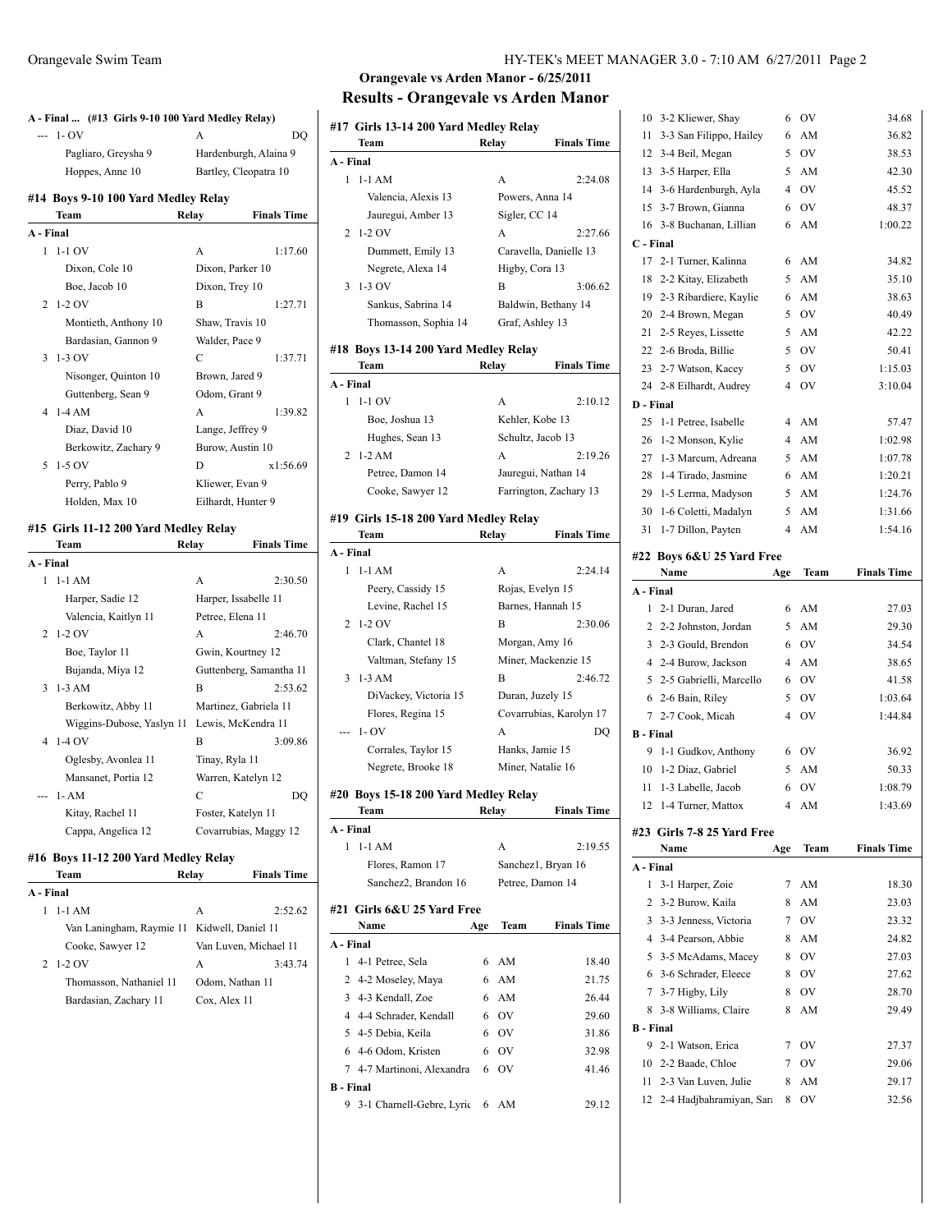| A - Final  (#13 Girls 9-10 100 Yard Medley Relay)<br>$- - 1 - OV$ | DO<br>A                               |
|-------------------------------------------------------------------|---------------------------------------|
| Pagliaro, Greysha 9                                               | Hardenburgh, Alaina 9                 |
| Hoppes, Anne 10                                                   | Bartley, Cleopatra 10                 |
|                                                                   |                                       |
| #14 Boys 9-10 100 Yard Medley Relay<br>Team                       | Relay<br><b>Finals Time</b>           |
| A - Final                                                         |                                       |
| $1 - 1 - 1$ OV                                                    | A<br>1:17.60                          |
| Dixon, Cole 10                                                    | Dixon, Parker 10                      |
| Boe, Jacob 10                                                     | Dixon, Trey 10                        |
| $1-2$ OV<br>2                                                     | B<br>1:27.71                          |
| Montieth, Anthony 10                                              | Shaw, Travis 10                       |
| Bardasian, Gannon 9                                               | Walder, Pace 9                        |
| 3<br>$1-3$ OV                                                     | C<br>1:37.71                          |
| Nisonger, Quinton 10                                              | Brown, Jared 9                        |
| Guttenberg, Sean 9                                                | Odom, Grant 9                         |
| 4<br>$1-4 AM$                                                     | 1:39.82<br>A                          |
| Diaz, David 10                                                    | Lange, Jeffrey 9                      |
| Berkowitz, Zachary 9                                              | Burow, Austin 10                      |
| 5<br>$1-5$ OV                                                     | x1:56.69<br>D                         |
| Perry, Pablo 9                                                    | Kliewer, Evan 9                       |
| Holden, Max 10                                                    | Eilhardt, Hunter 9                    |
|                                                                   |                                       |
| #15 Girls 11-12 200 Yard Medley Relay                             |                                       |
| Team                                                              | <b>Finals Time</b><br>Relay           |
| A - Final                                                         |                                       |
|                                                                   |                                       |
| $1-1$ AM<br>$\mathbf{1}$                                          | 2:30.50<br>А                          |
| Harper, Sadie 12                                                  | Harper, Issabelle 11                  |
| Valencia, Kaitlyn 11                                              | Petree, Elena 11                      |
| $1-2$ OV<br>2                                                     | 2:46.70<br>A                          |
| Boe, Taylor 11                                                    | Gwin, Kourtney 12                     |
| Bujanda, Miya 12                                                  | Guttenberg, Samantha 11               |
| $1-3$ AM<br>3                                                     | B<br>2:53.62                          |
| Berkowitz, Abby 11                                                | Martinez, Gabriela 11                 |
| Wiggins-Dubose, Yaslyn 11                                         | Lewis, McKendra 11                    |
| $1-4$ OV<br>4                                                     | В<br>3:09.86                          |
| Oglesby, Avonlea 11                                               | Tinay, Ryla 11                        |
| Mansanet, Portia 12                                               | Warren, Katelyn 12                    |
| $1 - AM$<br>$\overline{a}$                                        | C<br>DQ                               |
| Kitay, Rachel 11                                                  | Foster, Katelyn 11                    |
| Cappa, Angelica 12                                                | Covarrubias, Maggy 12                 |
| #16 Boys 11-12 200 Yard Medley Relay                              | Relay                                 |
| Team<br>A - Final                                                 | <b>Finals Time</b>                    |
| 1                                                                 | А                                     |
| 1-1 AM                                                            | 2:52.62                               |
| Van Laningham, Raymie 11                                          | Kidwell, Daniel 11                    |
| Cooke, Sawyer 12<br>2<br>1-2 OV                                   | Van Luven, Michael 11<br>А<br>3:43.74 |

Bardasian, Zachary 11 Cox, Alex 11

 $\overline{\phantom{a}}$ 

## **Orangevale vs Arden Manor - 6/25/2011 Results - Orangevale vs Arden Manor**

|              | #17 Girls 13-14 200 Yard Medley Relay        |                   |                        |
|--------------|----------------------------------------------|-------------------|------------------------|
|              | Team                                         | Relay             | <b>Finals Time</b>     |
| A - Final    |                                              |                   |                        |
| 1            | $1-1$ AM                                     | A                 | 2:24.08                |
|              | Valencia, Alexis 13                          | Powers, Anna 14   |                        |
|              | Jauregui, Amber 13                           | Sigler, CC 14     |                        |
| 2            | $1-2$ OV                                     | A                 | 2:27.66                |
|              | Dummett, Emily 13                            |                   | Caravella, Danielle 13 |
|              | Negrete, Alexa 14                            | Higby, Cora 13    |                        |
| 3            | $1-3$ OV                                     | B                 | 3:06.62                |
|              | Sankus, Sabrina 14                           |                   | Baldwin, Bethany 14    |
|              | Thomasson, Sophia 14                         | Graf, Ashley 13   |                        |
|              |                                              |                   |                        |
|              | #18 Boys 13-14 200 Yard Medley Relay<br>Team | Relay             | <b>Finals Time</b>     |
| A - Final    |                                              |                   |                        |
| $\mathbf{1}$ | $1-1$ OV                                     | A                 | 2:10.12                |
|              | Boe, Joshua 13                               | Kehler, Kobe 13   |                        |
|              | Hughes, Sean 13                              | Schultz, Jacob 13 |                        |
| 2            | $1-2 AM$                                     | A                 | 2:19.26                |
|              | Petree, Damon 14                             |                   | Jauregui, Nathan 14    |
|              |                                              |                   |                        |
|              | Cooke, Sawyer 12                             |                   | Farrington, Zachary 13 |
|              | #19 Girls 15-18 200 Yard Medley Relay        |                   |                        |
|              | Team                                         | Relay             | <b>Finals Time</b>     |
| A - Final    |                                              |                   |                        |
| 1            | $1-1$ AM                                     | A                 | 2:24.14                |
|              | Peery, Cassidy 15                            | Rojas, Evelyn 15  |                        |
|              | Levine, Rachel 15                            | Barnes, Hannah 15 |                        |
| 2            | $1-2$ OV                                     | B                 | 2:30.06                |
|              | Clark, Chantel 18                            | Morgan, Amy 16    |                        |
|              | Valtman, Stefany 15                          |                   | Miner, Mackenzie 15    |
| 3            | $1-3 AM$                                     | B                 | 2:46.72                |

# DiVackey, Victoria 15 Duran, Juzely 15 Flores, Regina 15 Covarrubias, Karolyn 17 --- 1- OV A DQ Corrales, Taylor 15 Hanks, Jamie 15 Negrete, Brooke 18 Miner, Natalie 16 **A - Final**

## **#20 Boys 15-18 200 Yard Medley Relay**

|                  | Team                        | Relay |                  | <b>Finals Time</b> |
|------------------|-----------------------------|-------|------------------|--------------------|
| A - Final        |                             |       |                  |                    |
| 1                | $1-1$ AM                    |       | A                | 2.19.55            |
|                  | Flores, Ramon 17            |       |                  | Sanchez1, Bryan 16 |
|                  | Sanchez2, Brandon 16        |       | Petree, Damon 14 |                    |
|                  | #21 Girls 6&U 25 Yard Free  |       |                  |                    |
|                  | Name                        | Age   | Team             | <b>Finals Time</b> |
| A - Final        |                             |       |                  |                    |
| 1                | 4-1 Petree, Sela            | 6     | AM               | 18.40              |
|                  | 2 4-2 Moseley, Maya         | 6     | AM               | 21.75              |
|                  | 3 4-3 Kendall, Zoe          | 6     | AM               | 26.44              |
|                  | 4 4-4 Schrader, Kendall     | 6     | OV               | 29.60              |
| 5.               | 4-5 Debia, Keila            | 6     | - OV             | 31.86              |
|                  | 6 4-6 Odom, Kristen         | 6     | - OV             | 32.98              |
|                  | 7 4-7 Martinoni, Alexandra  | 6     | OV               | 41.46              |
| <b>B</b> - Final |                             |       |                  |                    |
|                  | 9 3-1 Charnell-Gebre, Lyric |       | 6 AM             | 29.12              |

### 10 3-2 Kliewer, Shay 6 OV 34.68 11 3-3 San Filippo, Hailey 6 AM 36.82 12 3-4 Beil, Megan 5 OV 38.53 13 3-5 Harper, Ella 5 AM 42.30 14 3-6 Hardenburgh, Ayla 4 OV 45.52 15 3-7 Brown, Gianna 6 OV 48.37 16 3-8 Buchanan, Lillian 6 AM 1:00.22 **C - Final** 17 2-1 Turner, Kalinna 6 AM 34.82 18 2-2 Kitay, Elizabeth 5 AM 35.10 19 2-3 Ribardiere, Kaylie 6 AM 38.63 20 2-4 Brown, Megan 5 OV 40.49 21 2-5 Reyes, Lissette 5 AM 42.22 22 2-6 Broda, Billie 5 OV 50.41 23 2-7 Watson, Kacey 5 OV 1:15.03 24 2-8 Eilhardt, Audrey 4 OV 3:10.04 **D - Final** 25 1-1 Petree, Isabelle 4 AM 57.47 26 1-2 Monson, Kylie 4 AM 1:02.98 27 1-3 Marcum, Adreana 5 AM 1:07.78 28 1-4 Tirado, Jasmine 6 AM 1:20.21 29 1-5 Lerma, Madyson 5 AM 1:24.76 30 1-6 Coletti, Madalyn 5 AM 1:31.66 31 1-7 Dillon, Payten 4 AM 1:54.16 **#22 Boys 6&U 25 Yard Free Name Age Team Finals Time**

|           | Name                       | Age | Team      | <b>Finals Time</b> |
|-----------|----------------------------|-----|-----------|--------------------|
|           | #23 Girls 7-8 25 Yard Free |     |           |                    |
|           | 12 1-4 Turner, Mattox      | 4   | AM        | 1:43.69            |
|           | 11 1-3 Labelle, Jacob      | 6   | OV        | 1:08.79            |
| 10        | 1-2 Diaz, Gabriel          |     | 5 AM      | 50.33              |
|           | 9 1-1 Gudkov, Anthony      | 6   | OV        | 36.92              |
| B - Final |                            |     |           |                    |
|           | 7 2-7 Cook, Micah          | 4   | OV        | 1:44.84            |
|           | 6 2-6 Bain, Riley          | 5   | OV        | 1:03.64            |
|           | 5 2-5 Gabrielli, Marcello  | 6   | OV        | 41.58              |
|           | 4 2-4 Burow, Jackson       | 4   | AM        | 38.65              |
|           | 3 2-3 Gould, Brendon       | 6   | <b>OV</b> | 34.54              |
|           | 2 2-2 Johnston, Jordan     | 5   | AM        | 29.30              |
|           | 1 2-1 Duran, Jared         | 6   | AM        | 27.03              |
|           |                            |     |           |                    |

| A - Final        |                             |   |                |       |
|------------------|-----------------------------|---|----------------|-------|
|                  | 1 3-1 Harper, Zoie          | 7 | AM             | 18.30 |
|                  | 2 3-2 Burow, Kaila          | 8 | AM             | 23.03 |
|                  | 3 3-3 Jenness, Victoria     | 7 | OV             | 23.32 |
|                  | 4 3-4 Pearson, Abbie        | 8 | AM             | 24.82 |
|                  | 5 3-5 McAdams, Macey        | 8 | OV             | 27.03 |
|                  | 6 3-6 Schrader, Eleece      | 8 | OV             | 27.62 |
|                  | 7 3-7 Higby, Lily           | 8 | OV             | 28.70 |
|                  | 8 3-8 Williams, Claire      | 8 | AM             | 29.49 |
| <b>B</b> - Final |                             |   |                |       |
|                  | 9 2-1 Watson, Erica         | 7 | O <sub>V</sub> | 27.37 |
|                  | 10 2-2 Baade, Chloe         | 7 | OV             | 29.06 |
|                  | 11 2-3 Van Luven, Julie     | 8 | AM             | 29.17 |
|                  | 12 2-4 Hadibahramiyan, Sara | 8 | OV             | 32.56 |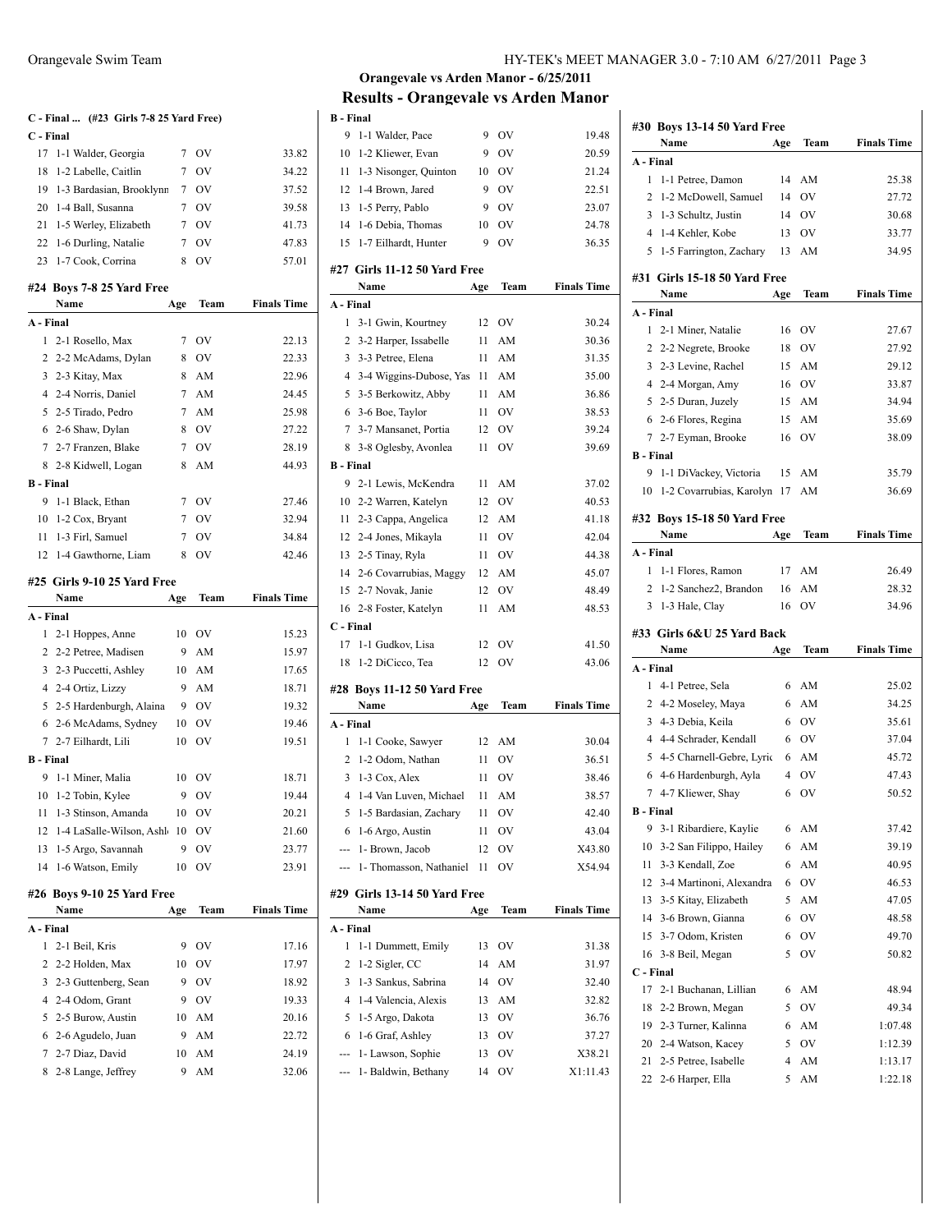#### **C - Final ... (#23 Girls 7-8 25 Yard Free) C - Final** 1-1 Walder, Georgia 7 OV 33.82 1-2 Labelle, Caitlin 7 OV 34.22 1-3 Bardasian, Brooklynn 7 OV 37.52 1-4 Ball, Susanna 7 OV 39.58 21 1-5 Werley, Elizabeth 7 OV 41.73 1-6 Durling, Natalie 7 OV 47.83 1-7 Cook, Corrina 8 OV 57.01 **#24 Boys 7-8 25 Yard Free Name Age Team Finals Time A - Final** 1 2-1 Rosello, Max 7 OV 22.13 2 2-2 McAdams, Dylan 8 OV 22.33 3 2-3 Kitay, Max 8 AM 22.96 2-4 Norris, Daniel 7 AM 24.45 2-5 Tirado, Pedro 7 AM 25.98 2-6 Shaw, Dylan 8 OV 27.22 2-7 Franzen, Blake 7 OV 28.19 2-8 Kidwell, Logan 8 AM 44.93 **B - Final** 1-1 Black, Ethan 7 OV 27.46 10 1-2 Cox, Bryant 7 OV 32.94 1-3 Firl, Samuel 7 OV 34.84 1-4 Gawthorne, Liam 8 OV 42.46 **#25 Girls 9-10 25 Yard Free Name Age Team Finals Time A - Final** 2-1 Hoppes, Anne 10 OV 15.23 2-2 Petree, Madisen 9 AM 15.97 2-3 Puccetti, Ashley 10 AM 17.65 2-4 Ortiz, Lizzy 9 AM 18.71 2-5 Hardenburgh, Alaina 9 OV 19.32 2-6 McAdams, Sydney 10 OV 19.46 2-7 Eilhardt, Lili 10 OV 19.51 **B - Final** 1-1 Miner, Malia 10 OV 18.71 10 1-2 Tobin, Kylee 9 OV 19.44 1-3 Stinson, Amanda 10 OV 20.21 12 1-4 LaSalle-Wilson, Ashl 10 OV 21.60 1-5 Argo, Savannah 9 OV 23.77 1-6 Watson, Emily 10 OV 23.91 **#26 Boys 9-10 25 Yard Free Name Age Team Finals Time A - Final** 2-1 Beil, Kris 9 OV 17.16 2-2 Holden, Max 10 OV 17.97 2-3 Guttenberg, Sean 9 OV 18.92 2-4 Odom, Grant 9 OV 19.33

 2-5 Burow, Austin 10 AM 20.16 2-6 Agudelo, Juan 9 AM 22.72 2-7 Diaz, David 10 AM 24.19 2-8 Lange, Jeffrey 9 AM 32.06

| Orangevale Swim Team | HY-TEK's MEET MANAGER 3.0 - 7:10 AM 6/27/2011 Page 3 |  |
|----------------------|------------------------------------------------------|--|
|                      |                                                      |  |

#### **Orangevale vs Arden Manor - 6/25/2011 Results - Orangevale vs Arden Manor B - Final**

| 9                | 1-1 Walder, Pace                     | 9   | <b>OV</b>     | 19.48              |
|------------------|--------------------------------------|-----|---------------|--------------------|
| 10               | 1-2 Kliewer, Evan                    | 9   | OV            | 20.59              |
| 11               | 1-3 Nisonger, Quinton                | 10  | <sub>OV</sub> | 21.24              |
| 12               | 1-4 Brown, Jared                     | 9   | <b>OV</b>     | 22.51              |
|                  | 13 1-5 Perry, Pablo                  | 9   | <b>OV</b>     | 23.07              |
| 14               | 1-6 Debia, Thomas                    | 10  | <b>OV</b>     | 24.78              |
| 15               | 1-7 Eilhardt, Hunter                 | 9   | OV            | 36.35              |
|                  | #27 Girls 11-12 50 Yard Free         |     |               |                    |
|                  | Name                                 | Age | Team          | <b>Finals Time</b> |
| A - Final        |                                      |     |               |                    |
| 1                | 3-1 Gwin, Kourtney                   | 12  | <b>OV</b>     | 30.24              |
| 2                | 3-2 Harper, Issabelle                | 11  | AM            | 30.36              |
|                  | 3 3-3 Petree, Elena                  | 11  | AM            | 31.35              |
|                  | 4 3-4 Wiggins-Dubose, Yas            | 11  | AM            | 35.00              |
|                  | 5 3-5 Berkowitz, Abby                | 11  | AM            | 36.86              |
|                  | 6 3-6 Boe, Taylor                    | 11  | - OV          | 38.53              |
|                  | 7 3-7 Mansanet, Portia               |     | 12 OV         | 39.24              |
| 8                | 3-8 Oglesby, Avonlea                 | 11  | OV            | 39.69              |
| <b>B</b> - Final |                                      |     |               |                    |
| 9                | 2-1 Lewis, McKendra                  | 11  | AM            | 37.02              |
|                  | 10 2-2 Warren, Katelyn               | 12  | <b>OV</b>     | 40.53              |
|                  | 11 2-3 Cappa, Angelica               | 12  | AM            | 41.18              |
|                  | 12 2-4 Jones, Mikayla                | 11  | <b>OV</b>     | 42.04              |
|                  | 13 2-5 Tinay, Ryla                   | 11  | <b>OV</b>     | 44.38              |
|                  | 14 2-6 Covarrubias, Maggy            |     | 12 AM         | 45.07              |
|                  | 15 2-7 Novak, Janie                  | 12  | OV            | 48.49              |
|                  | 16 2-8 Foster, Katelyn               | 11  | AM            | 48.53              |
| C - Final        |                                      |     |               |                    |
| 17               | 1-1 Gudkov, Lisa                     | 12  | <b>OV</b>     | 41.50              |
| 18               | 1-2 DiCicco, Tea                     | 12  | OV            | 43.06              |
|                  |                                      |     |               |                    |
|                  | #28 Boys 11-12 50 Yard Free          |     |               |                    |
|                  | Name                                 | Age | Team          | <b>Finals Time</b> |
| A - Final        |                                      |     |               |                    |
| 1                | 1-1 Cooke, Sawyer                    | 12  | AM            | 30.04              |
| $\mathbf{2}$     | 1-2 Odom, Nathan                     | 11  | OV            | 36.51              |
| 3                | 1-3 Cox, Alex                        | 11  | OV            | 38.46              |
|                  | 4 1-4 Van Luven, Michael             | 11  | AM            | 38.57              |
| 5                | 1-5 Bardasian, Zachary               | 11  | OV            | 42.40              |
| 6                | 1-6 Argo, Austin                     | 11  | OV            | 43.04              |
| ---              | 1- Brown, Jacob                      | 12  | OV            | X43.80             |
|                  | --- 1- Thomasson, Nathaniel          | 11  | OV            | X54.94             |
|                  | #29 Girls 13-14 50 Yard Free<br>Name | Age | Team          | <b>Finals Time</b> |
| A - Final        |                                      |     |               |                    |
| 1                | 1-1 Dummett, Emily                   | 13  | OV            | 31.38              |
| 2                | 1-2 Sigler, CC                       | 14  | AM            | 31.97              |
| 3                | 1-3 Sankus, Sabrina                  | 14  | OV            | 32.40              |
| 4                | 1-4 Valencia, Alexis                 | 13  | AM            | 32.82              |
| 5                | 1-5 Argo, Dakota                     | 13  | $\hbox{OV}$   | 36.76              |
| 6                | 1-6 Graf, Ashley                     | 13  | OV            | 37.27              |
| ---              | 1- Lawson, Sophie                    | 13  | OV            | X38.21             |
|                  |                                      |     |               |                    |
| ---              | 1- Baldwin, Bethany                  | 14  | OV            | X1:11.43           |

|                  | #30 Boys 13-14 50 Yard Free  |                |           |                    |
|------------------|------------------------------|----------------|-----------|--------------------|
|                  | Name                         | Age            | Team      | <b>Finals Time</b> |
| A - Final        |                              |                |           |                    |
| 1                | 1-1 Petree, Damon            | 14             | AM        | 25.38              |
| $\overline{c}$   | 1-2 McDowell, Samuel         | 14             | <b>OV</b> | 27.72              |
| 3                | 1-3 Schultz, Justin          | 14             | OV        | 30.68              |
| 4                | 1-4 Kehler, Kobe             | 13             | <b>OV</b> | 33.77              |
| 5                | 1-5 Farrington, Zachary      | 13             | AM        | 34.95              |
|                  | #31 Girls 15-18 50 Yard Free |                |           |                    |
|                  | Name                         | Age            | Team      | <b>Finals Time</b> |
| A - Final        |                              |                |           |                    |
| 1                | 2-1 Miner, Natalie           | 16             | OV        | 27.67              |
| 2                | 2-2 Negrete, Brooke          | 18             | OV        | 27.92              |
| 3                | 2-3 Levine, Rachel           | 15             | AM        | 29.12              |
|                  | 4 2-4 Morgan, Amy            | 16             | OV        | 33.87              |
|                  | 5 2-5 Duran, Juzely          | 15             | AM        | 34.94              |
| 6                | 2-6 Flores, Regina           | 15             | AM        | 35.69              |
| 7                | 2-7 Eyman, Brooke            | 16             | OV        | 38.09              |
| <b>B</b> - Final |                              |                |           |                    |
| 9                | 1-1 DiVackey, Victoria       | 15             | AM        | 35.79              |
| 10               | 1-2 Covarrubias, Karolyn     | 17             | AM        | 36.69              |
|                  | #32 Boys 15-18 50 Yard Free  |                |           |                    |
|                  | Name                         | Age            | Team      | <b>Finals Time</b> |
| A - Final        |                              |                |           |                    |
| 1                | 1-1 Flores, Ramon            | 17             | AM        | 26.49              |
| 2                | 1-2 Sanchez2, Brandon        | 16             | AM        | 28.32              |
| 3                | 1-3 Hale, Clay               | 16             | OV        | 34.96              |
|                  | #33 Girls 6&U 25 Yard Back   |                |           |                    |
|                  | Name                         | Age            | Team      | <b>Finals Time</b> |
| A - Final        |                              |                |           |                    |
| 1                | 4-1 Petree, Sela             | 6              | AM        | 25.02              |
| 2                | 4-2 Moseley, Maya            | 6              | AM        | 34.25              |
| 3                | 4-3 Debia, Keila             | 6              | <b>OV</b> | 35.61              |
|                  | 4 4-4 Schrader, Kendall      | 6              | <b>OV</b> | 37.04              |
| 5                | 4-5 Charnell-Gebre, Lyric    | 6              | AM        | 45.72              |
| 6                | 4-6 Hardenburgh, Ayla        | $\overline{4}$ | <b>OV</b> | 47.43              |
| 7                | 4-7 Kliewer, Shay            | 6              | OV        | 50.52              |
| <b>B</b> - Final |                              |                |           |                    |
| 9                | 3-1 Ribardiere, Kaylie       | 6              | AM        | 37.42              |
| 10               | 3-2 San Filippo, Hailey      | 6              | AM        | 39.19              |
|                  |                              |                |           |                    |
| 11               | 3-3 Kendall, Zoe             | 6              | AM        | 40.95              |
| 12               | 3-4 Martinoni, Alexandra     | 6              | OV        | 46.53              |
| 13               | 3-5 Kitay, Elizabeth         | 5              | AM        | 47.05              |
| 14               | 3-6 Brown, Gianna            | 6              | OV        | 48.58              |
| 15               | 3-7 Odom, Kristen            | 6              | OV        | 49.70              |
| 16               | 3-8 Beil, Megan              | 5              | OV        | 50.82              |
| C - Final        |                              |                |           |                    |
| 17               | 2-1 Buchanan, Lillian        | 6              | AM        | 48.94              |
| 18               | 2-2 Brown, Megan             | 5              | OV        | 49.34              |
| 19               | 2-3 Turner, Kalinna          | 6              | AM        | 1:07.48            |
| 20               | 2-4 Watson, Kacey            | 5              | OV        | 1:12.39            |
| 21               | 2-5 Petree, Isabelle         | 4<br>5         | AM        | 1:13.17            |

 $\mathbf{I}$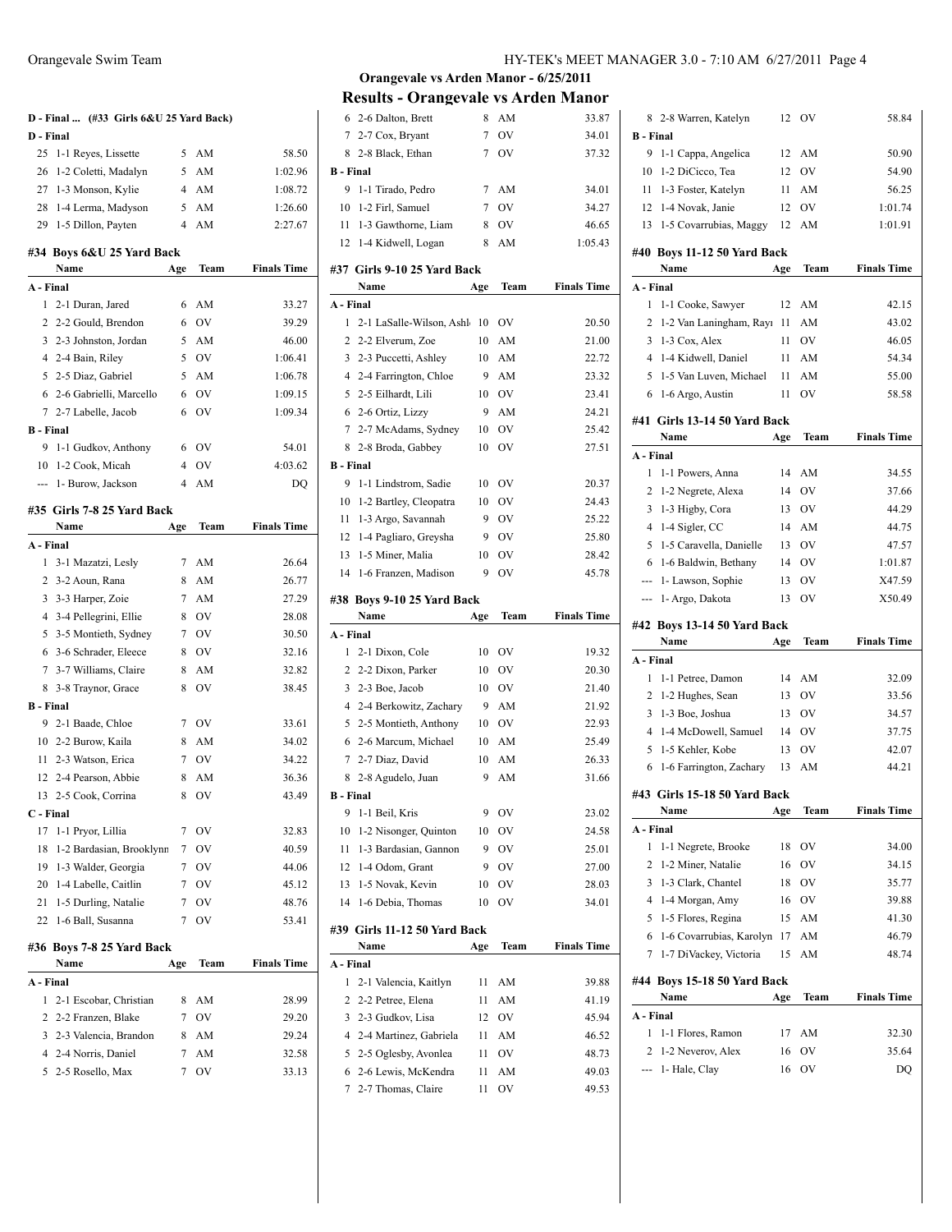| D - Final        | D - Final  (#33 Girls 6&U 25 Yard Back) |                |           |                    |
|------------------|-----------------------------------------|----------------|-----------|--------------------|
| 25               | 1-1 Reyes, Lissette                     | 5              | AM        | 58.50              |
| 26               | 1-2 Coletti, Madalyn                    | 5              | AM        | 1:02.96            |
|                  | 27 1-3 Monson, Kylie                    |                | 4 AM      | 1:08.72            |
| 28               | 1-4 Lerma, Madyson                      | 5              | AM        | 1:26.60            |
|                  | 29 1-5 Dillon, Payten                   | $\overline{4}$ | AM        | 2:27.67            |
|                  | #34 Boys 6&U 25 Yard Back<br>Name       | Age            | Team      | <b>Finals Time</b> |
| A - Final        |                                         |                |           |                    |
| 1                | 2-1 Duran, Jared                        | 6              | AM        | 33.27              |
|                  | 2 2-2 Gould, Brendon                    | 6              | OV        | 39.29              |
|                  | 3 2-3 Johnston, Jordan                  | 5              | AM        | 46.00              |
|                  | 4 2-4 Bain, Riley                       | 5              | <b>OV</b> | 1:06.41            |
|                  | 5 2-5 Diaz, Gabriel                     | 5              | AM        | 1:06.78            |
|                  | 6 2-6 Gabrielli, Marcello               | 6              | OV        | 1:09.15            |
|                  | 7 2-7 Labelle, Jacob                    | 6              | OV        | 1:09.34            |
| <b>B</b> - Final |                                         |                |           |                    |
| 9                | 1-1 Gudkov, Anthony                     | 6              | OV        | 54.01              |
| 10               | 1-2 Cook, Micah                         | $\overline{4}$ | OV        | 4:03.62            |
|                  | --- 1- Burow, Jackson                   | 4              | AM        | DQ                 |
|                  | #35 Girls 7-8 25 Yard Back              |                |           |                    |
|                  | Name                                    | Age            | Team      | <b>Finals Time</b> |
| A - Final        |                                         |                |           |                    |
| 1                | 3-1 Mazatzi, Lesly                      | 7              | AM        | 26.64              |
|                  | 2 3-2 Aoun, Rana                        | 8              | AM        | 26.77              |
|                  | 3 3-3 Harper, Zoie                      | $7^{\circ}$    | AM        | 27.29              |
|                  | 4 3-4 Pellegrini, Ellie                 | 8              | OV        | 28.08              |
|                  | 5 3-5 Montieth, Sydney                  | 7              | OV        | 30.50              |
|                  | 6 3-6 Schrader, Eleece                  | 8              | OV        | 32.16              |
|                  | 7 3-7 Williams, Claire                  | 8              | AM        | 32.82              |
|                  |                                         |                |           |                    |
|                  | 8 3-8 Traynor, Grace                    | 8              | OV        | 38.45              |
| <b>B</b> - Final |                                         |                |           |                    |
|                  | 9 2-1 Baade, Chloe                      |                | 7 OV      | 33.61              |
|                  | 10 2-2 Burow, Kaila                     | 8              | AM        | 34.02              |
|                  | 11 2-3 Watson, Erica                    | 7              | <b>OV</b> | 34.22              |
|                  | 12 2-4 Pearson, Abbie                   | 8              | AM        | 36.36              |
|                  | 13 2-5 Cook, Corrina                    |                | 8 OV      | 43.49              |
| C - Final        |                                         |                |           |                    |
| 17               | 1-1 Pryor, Lillia                       | 7              | OV        | 32.83              |
| 18               | 1-2 Bardasian, Brooklynn                | 7              | OV        | 40.59              |
| 19               | 1-3 Walder, Georgia                     | 7              | OV        | 44.06              |
| 20               | 1-4 Labelle, Caitlin                    | 7              | OV        | 45.12              |
| 21               | 1-5 Durling, Natalie                    | 7              | OV        | 48.76              |
| 22               | 1-6 Ball, Susanna                       | 7              | OV        | 53.41              |
|                  | #36 Boys 7-8 25 Yard Back<br>Name       | Age            | Team      | <b>Finals Time</b> |
| A - Final        |                                         |                |           |                    |
| 1                | 2-1 Escobar, Christian                  | 8              | AM        | 28.99              |
| $\overline{c}$   | 2-2 Franzen, Blake                      | 7              | OV        | 29.20              |
|                  | 3 2-3 Valencia, Brandon                 | 8              | AM        | 29.24              |
|                  | 4 2-4 Norris, Daniel                    | 7              | AM        | 32.58              |

| 6                     | 2-6 Dalton, Brett                           | 8        | AM        | 33.87              |
|-----------------------|---------------------------------------------|----------|-----------|--------------------|
| 7                     | 2-7 Cox, Bryant                             | 7        | OV        | 34.01              |
| 8                     | 2-8 Black, Ethan                            | 7        | OV        | 37.32              |
| <b>B</b> - Final      |                                             |          |           |                    |
| 9                     | 1-1 Tirado, Pedro                           | 7        | AM        | 34.01              |
| 10                    | 1-2 Firl, Samuel                            | 7        | OV        | 34.27              |
| 11                    | 1-3 Gawthorne, Liam                         | 8        | OV        | 46.65              |
| 12                    | 1-4 Kidwell, Logan                          | 8        | AM        | 1:05.43            |
|                       | #37 Girls 9-10 25 Yard Back                 |          |           |                    |
|                       | Name                                        | Age      | Team      | <b>Finals Time</b> |
| A - Final             |                                             |          |           |                    |
| 1                     | 2-1 LaSalle-Wilson, Ashle                   | 10       | OV        | 20.50              |
| 2                     | 2-2 Elverum, Zoe                            | 10       | AM        | 21.00              |
| 3                     | 2-3 Puccetti, Ashley                        | 10       | AM        | 22.72              |
| 4                     | 2-4 Farrington, Chloe                       | 9        | AM        | 23.32              |
| 5                     | 2-5 Eilhardt, Lili                          | 10       | <b>OV</b> | 23.41              |
| 6                     | 2-6 Ortiz, Lizzy                            | 9        | AM        | 24.21              |
| 7                     | 2-7 McAdams, Sydney                         | 10       | OV        | 25.42              |
| 8                     | 2-8 Broda, Gabbey                           | 10       | OV        | 27.51              |
| <b>B</b> - Final      |                                             |          |           |                    |
| 9                     | 1-1 Lindstrom, Sadie                        | 10       | OV        | 20.37              |
| 10                    | 1-2 Bartley, Cleopatra                      | 10       | OV        | 24.43              |
| 11                    | 1-3 Argo, Savannah                          | 9        | OV        | 25.22              |
| 12                    | 1-4 Pagliaro, Greysha                       | 9        | OV        | 25.80              |
| 13                    | 1-5 Miner, Malia                            | 10       | OV        | 28.42              |
| 14                    | 1-6 Franzen, Madison                        | 9        | OV        | 45.78              |
|                       |                                             |          |           |                    |
|                       | #38 Boys 9-10 25 Yard Back                  |          |           |                    |
|                       |                                             |          |           |                    |
|                       | Name                                        | Age      | Team      | <b>Finals Time</b> |
| A - Final             |                                             |          |           |                    |
| 1                     | 2-1 Dixon, Cole                             | 10       | OV        | 19.32              |
| 2                     | 2-2 Dixon, Parker                           | 10       | OV        | 20.30              |
| 3                     | 2-3 Boe, Jacob                              | 10       | OV        | 21.40              |
| 4                     | 2-4 Berkowitz, Zachary                      | 9        | AM        | 21.92              |
| 5                     | 2-5 Montieth, Anthony                       | 10       | OV        | 22.93              |
| 6                     | 2-6 Marcum, Michael                         | 10       | AM        | 25.49              |
| 7                     | 2-7 Diaz, David                             | 10<br>9  | AM        | 26.33              |
| 8<br><b>B</b> - Final | 2-8 Agudelo, Juan                           |          | AM        | 31.66              |
|                       |                                             |          |           |                    |
| 9                     | 1-1 Beil, Kris                              | 9        | OV        | 23.02<br>24.58     |
| 10<br>11              | 1-2 Nisonger, Quinton                       | 10<br>9  | OV<br>OV  |                    |
|                       | 1-3 Bardasian, Gannon                       |          |           | 25.01              |
| 12<br>13              | 1-4 Odom, Grant                             | 9        | OV        | 27.00              |
| 14                    | 1-5 Novak, Kevin<br>1-6 Debia, Thomas       | 10<br>10 | OV<br>OV  | 28.03<br>34.01     |
|                       |                                             |          |           |                    |
|                       | #39 Girls 11-12 50 Yard Back                |          |           |                    |
|                       | Name                                        | Age      | Team      | <b>Finals Time</b> |
| A - Final             |                                             |          |           |                    |
| 1                     | 2-1 Valencia, Kaitlyn                       | 11       | AM        | 39.88              |
| 2                     | 2-2 Petree, Elena                           | 11       | AM        | 41.19              |
| 3                     | 2-3 Gudkov, Lisa                            | 12       | OV        | 45.94              |
| 4                     | 2-4 Martinez, Gabriela                      | 11       | AM        | 46.52              |
| 5<br>6                | 2-5 Oglesby, Avonlea<br>2-6 Lewis, McKendra | 11<br>11 | OV<br>AM  | 48.73<br>49.03     |

|                  | 8 2-8 Warren, Katelyn        | 12  | OV        | 58.84              |
|------------------|------------------------------|-----|-----------|--------------------|
| <b>B</b> - Final |                              |     |           |                    |
| 9                | 1-1 Cappa, Angelica          | 12  | AM        | 50.90              |
| 10               | 1-2 DiCicco, Tea             | 12  | <b>OV</b> | 54.90              |
| 11               | 1-3 Foster, Katelyn          | 11  | AM        | 56.25              |
|                  | 12 1-4 Novak, Janie          | 12  | OV        | 1:01.74            |
|                  | 13 1-5 Covarrubias, Maggy    | 12  | AM        | 1:01.91            |
|                  |                              |     |           |                    |
|                  | #40 Boys 11-12 50 Yard Back  |     |           |                    |
|                  | Name                         | Age | Team      | <b>Finals Time</b> |
| A - Final        |                              |     |           |                    |
| 1                | 1-1 Cooke, Sawyer            | 12  | AM        | 42.15              |
| 2                | 1-2 Van Laningham, Rayı      | 11  | AM        | 43.02              |
| 3                | 1-3 Cox, Alex                | 11  | <b>OV</b> | 46.05              |
| $\overline{4}$   | 1-4 Kidwell, Daniel          | 11  | AM        | 54.34              |
| 5                | 1-5 Van Luven, Michael       | 11  | AM        | 55.00              |
|                  | 6 1-6 Argo, Austin           | 11  | OV        | 58.58              |
|                  | #41 Girls 13-14 50 Yard Back |     |           |                    |
|                  | Name                         | Age | Team      | <b>Finals Time</b> |
| A - Final        |                              |     |           |                    |
| $\mathbf{1}$     | 1-1 Powers, Anna             | 14  | AM        | 34.55              |
| 2                | 1-2 Negrete, Alexa           | 14  | OV        | 37.66              |
| 3                | 1-3 Higby, Cora              | 13  | <b>OV</b> | 44.29              |
| $\overline{4}$   | 1-4 Sigler, CC               | 14  | AM        | 44.75              |
| 5                | 1-5 Caravella, Danielle      | 13  | <b>OV</b> | 47.57              |
| 6                | 1-6 Baldwin, Bethany         | 14  | OV        | 1:01.87            |
|                  | --- 1- Lawson, Sophie        | 13  | OV        | X47.59             |
|                  | --- 1- Argo, Dakota          | 13  | OV        | X50.49             |
|                  |                              |     |           |                    |
|                  |                              |     |           |                    |
|                  | #42 Boys 13-14 50 Yard Back  |     |           |                    |
|                  | Name                         | Age | Team      | <b>Finals Time</b> |
| A - Final        |                              |     |           |                    |
| 1                | 1-1 Petree, Damon            | 14  | AM        | 32.09              |
| $\overline{2}$   | 1-2 Hughes, Sean             | 13  | OV        | 33.56              |
| 3                | 1-3 Boe, Joshua              | 13  | <b>OV</b> | 34.57              |
| $\overline{4}$   | 1-4 McDowell, Samuel         | 14  | OV        | 37.75              |
| 5                | 1-5 Kehler, Kobe             | 13  | <b>OV</b> | 42.07              |
| 6                | 1-6 Farrington, Zachary      | 13  | AM        | 44.21              |
|                  | #43 Girls 15-18 50 Yard Back |     |           |                    |
|                  | Name                         | Age | Team      | <b>Finals Time</b> |
| A - Final        |                              |     |           |                    |
| 1                | 1-1 Negrete, Brooke          | 18  | OV        | 34.00              |
| 2                | 1-2 Miner, Natalie           | 16  | OV        | 34.15              |
| 3                | 1-3 Clark, Chantel           | 18  | OV        | 35.77              |
| 4                | 1-4 Morgan, Amy              | 16  | OV        | 39.88              |
| 5                | 1-5 Flores, Regina           | 15  | AM        | 41.30              |
| 6                | 1-6 Covarrubias, Karolyn     | 17  | AM        | 46.79              |
| 7                | 1-7 DiVackey, Victoria       | 15  | AM        | 48.74              |
|                  |                              |     |           |                    |
|                  | #44 Boys 15-18 50 Yard Back  |     |           |                    |
|                  | Name                         | Age | Team      | <b>Finals Time</b> |
| A - Final        |                              |     |           |                    |
| 1                | 1-1 Flores, Ramon            | 17  | AM        | 32.30              |
| 2                | 1-2 Neverov, Alex            | 16  | OV        | 35.64              |
| ä,               | 1- Hale, Clay                | 16  | OV        | DQ                 |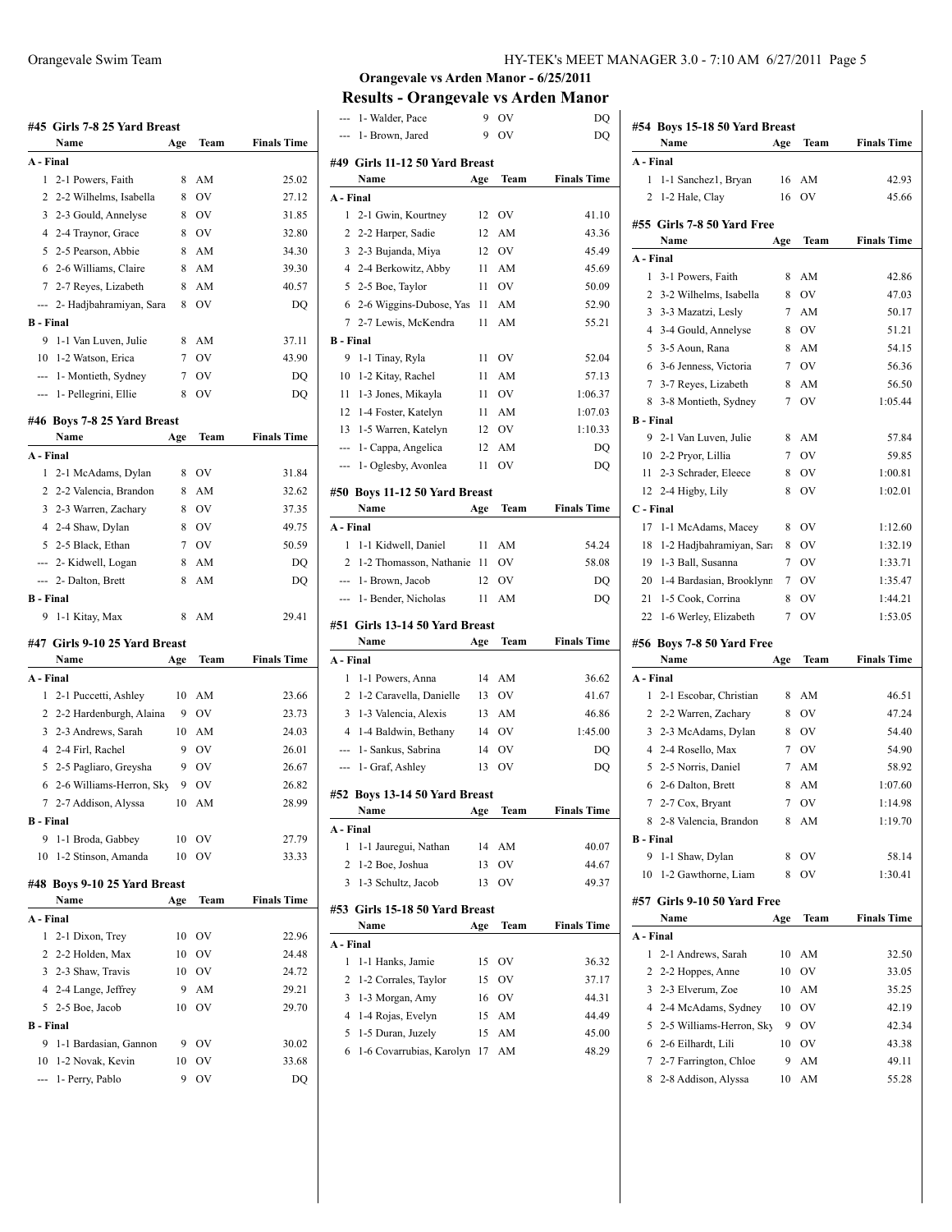|                  | #45 Girls 7-8 25 Yard Breast<br>Name   |         | Team     | <b>Finals Time</b> |
|------------------|----------------------------------------|---------|----------|--------------------|
| A - Final        |                                        | Age     |          |                    |
| 1                | 2-1 Powers, Faith                      | 8       | AM       | 25.02              |
| 2                | 2-2 Wilhelms, Isabella                 | 8       | OV       | 27.12              |
| 3                | 2-3 Gould, Annelyse                    | 8       | OV       | 31.85              |
|                  | 4 2-4 Traynor, Grace                   | 8       | OV       | 32.80              |
| 5                | 2-5 Pearson, Abbie                     | 8       | AM       | 34.30              |
| 6                | 2-6 Williams, Claire                   | 8       | AM       | 39.30              |
|                  | 7 2-7 Reyes, Lizabeth                  | 8       | AM       | 40.57              |
|                  | --- 2- Hadjbahramiyan, Sara            | 8       | OV       | DQ                 |
| <b>B</b> - Final |                                        |         |          |                    |
| 9                | 1-1 Van Luven, Julie                   | 8       | AM       | 37.11              |
| 10               | 1-2 Watson, Erica                      | $\tau$  | OV       | 43.90              |
|                  | --- 1- Montieth, Sydney                | 7       | OV       | DQ                 |
|                  | --- 1- Pellegrini, Ellie               | 8       | OV       | DQ                 |
|                  |                                        |         |          |                    |
|                  | #46 Boys 7-8 25 Yard Breast            |         |          |                    |
|                  | Name                                   | Age     | Team     | <b>Finals Time</b> |
| A - Final        |                                        |         |          |                    |
| 1                | 2-1 McAdams, Dylan                     | 8       | OV       | 31.84              |
| 2                | 2-2 Valencia, Brandon                  | 8       | AM       | 32.62              |
| 3                | 2-3 Warren, Zachary                    | 8       | OV       | 37.35              |
|                  | 4 2-4 Shaw, Dylan                      | 8       | OV       | 49.75              |
|                  | 5 2-5 Black, Ethan                     | 7       | OV       | 50.59              |
|                  | --- 2- Kidwell, Logan                  | 8       | AM       | DQ                 |
|                  | --- 2- Dalton, Brett                   | 8       | AM       | DQ                 |
| <b>B</b> - Final |                                        |         |          |                    |
| 9                | 1-1 Kitay, Max                         | 8       | AM       | 29.41              |
|                  |                                        |         |          |                    |
|                  | #47  Girls 9-10 25 Yard Breast         |         |          |                    |
|                  | Name                                   | Age     | Team     | <b>Finals Time</b> |
| A - Final        |                                        |         |          |                    |
| 1                | 2-1 Puccetti, Ashley                   | 10      | AM       | 23.66              |
| $\overline{2}$   | 2-2 Hardenburgh, Alaina                | 9       | OV       | 23.73              |
| 3                | 2-3 Andrews, Sarah                     | 10      | AM       | 24.03              |
|                  | 4 2-4 Firl, Rachel                     | 9       | OV       | 26.01              |
| 5                | 2-5 Pagliaro, Greysha                  | 9       | OV       | 26.67              |
| 6                | 2-6 Williams-Herron, Sky               | 9       | OV       | 26.82              |
|                  | 2-7 Addison, Alyssa                    | 10      | AM       |                    |
| <b>B</b> - Final |                                        |         |          | 28.99              |
| 9                | 1-1 Broda, Gabbey                      | 10      | OV       | 27.79              |
| 10               | 1-2 Stinson, Amanda                    | 10      | OV       | 33.33              |
|                  |                                        |         |          |                    |
|                  | #48 Boys 9-10 25 Yard Breast           |         |          |                    |
|                  | Name                                   | Age     | Team     | <b>Finals Time</b> |
| A - Final        |                                        |         |          |                    |
| 1                | 2-1 Dixon, Trey                        | 10      | OV       | 22.96              |
|                  | 2 2-2 Holden, Max                      | 10      | OV       | 24.48              |
| 3                | 2-3 Shaw, Travis                       | 10      | OV       | 24.72              |
|                  | 4 2-4 Lange, Jeffrey                   | 9       | AM       | 29.21              |
| 5                | 2-5 Boe, Jacob                         | 10      | OV       | 29.70              |
| <b>B</b> - Final |                                        |         |          |                    |
| 9                | 1-1 Bardasian, Gannon                  | 9       | OV       | 30.02              |
| $-$              | 10 1-2 Novak, Kevin<br>1- Perry, Pablo | 10<br>9 | OV<br>OV | 33.68<br>DQ        |

#### **Orangevale vs Arden Manor - 6/25/2011**

**Results - Orangevale vs Arden Manor**<br>-- 1- Walder, Pace 9 OV DQ

| ---              | 1- Walder, Pace                       | 9   | OV   | DO                 |
|------------------|---------------------------------------|-----|------|--------------------|
|                  | 1- Brown, Jared                       | 9   | OV   | DQ                 |
|                  |                                       |     |      |                    |
|                  | #49 Girls 11-12 50 Yard Breast        |     |      |                    |
|                  | Name                                  | Age | Team | <b>Finals Time</b> |
| A - Final        |                                       |     |      |                    |
| 1                | 2-1 Gwin, Kourtney                    | 12  | OV   | 41.10              |
| 2                | 2-2 Harper, Sadie                     | 12  | AM   | 43.36              |
|                  | 3 2-3 Bujanda, Miya                   | 12  | OV   | 45.49              |
|                  | 4 2-4 Berkowitz, Abby                 | 11  | AM   | 45.69              |
| 5                | 2-5 Boe, Taylor                       | 11  | OV   | 50.09              |
| 6                | 2-6 Wiggins-Dubose, Yas               | 11  | AM   | 52.90              |
| 7                | 2-7 Lewis, McKendra                   | 11  | AM   | 55.21              |
| <b>B</b> - Final |                                       |     |      |                    |
| 9                | 1-1 Tinay, Ryla                       | 11  | OV   | 52.04              |
| 10               | 1-2 Kitay, Rachel                     | 11  | AM   | 57.13              |
| 11               | 1-3 Jones, Mikayla                    | 11  | OV   | 1:06.37            |
| 12               | 1-4 Foster, Katelyn                   | 11  | AM   | 1:07.03            |
| 13               | 1-5 Warren, Katelyn                   | 12  | OV   | 1:10.33            |
| ---              | 1- Cappa, Angelica                    | 12  | AM   | DQ                 |
| ---              | 1- Oglesby, Avonlea                   | 11  | OV   | DQ                 |
|                  |                                       |     |      |                    |
|                  | #50 Boys 11-12 50 Yard Breast<br>Name |     |      | <b>Finals Time</b> |
| A - Final        |                                       | Age | Team |                    |
| 1                | 1-1 Kidwell, Daniel                   | 11  | AM   | 54.24              |
| 2                | 1-2 Thomasson, Nathanie               | -11 | OV   | 58.08              |
| $---$            | 1- Brown, Jacob                       | 12  | OV   |                    |
|                  |                                       |     |      | DQ                 |
|                  |                                       |     |      |                    |
| ---              | 1- Bender, Nicholas                   | 11  | AM   | DQ                 |
| #51              | Girls 13-14 50 Yard Breast            |     |      |                    |
|                  | Name                                  | Age | Team | <b>Finals Time</b> |
| A - Final        |                                       |     |      |                    |
| 1                | 1-1 Powers, Anna                      | 14  | AM   | 36.62              |
| 2                | 1-2 Caravella, Danielle               | 13  | OV   | 41.67              |
| 3                | 1-3 Valencia, Alexis                  | 13  | AM   | 46.86              |
| 4                | 1-4 Baldwin, Bethany                  | 14  | OV   | 1:45.00            |
| ---              | 1- Sankus, Sabrina                    | 14  | OV   | DQ                 |
| ---              | 1- Graf, Ashley                       | 13  | OV   | DQ                 |
|                  |                                       |     |      |                    |
|                  | #52 Boys 13-14 50 Yard Breast         |     |      |                    |
|                  | Name                                  | Age | Team | <b>Finals Time</b> |
| A - Final        |                                       |     |      |                    |
| 1                | 1-1 Jauregui, Nathan                  | 14  | AM   | 40.07              |
| 2                | 1-2 Boe, Joshua                       | 13  | OV   | 44.67              |
| 3                | 1-3 Schultz, Jacob                    | 13  | OV   | 49.37              |
|                  | #53 Girls 15-18 50 Yard Breast        |     |      |                    |
|                  | Name                                  | Age | Team | <b>Finals Time</b> |
| A - Final        |                                       |     |      |                    |
| 1                | 1-1 Hanks, Jamie                      | 15  | OV   | 36.32              |
| 2                | 1-2 Corrales, Taylor                  | 15  | OV   | 37.17              |
| 3                | 1-3 Morgan, Amy                       | 16  | OV   | 44.31              |
| 4                | 1-4 Rojas, Evelyn                     | 15  | AM   | 44.49              |
| 5                | 1-5 Duran, Juzely                     | 15  | AM   | 45.00              |

|                  | #54 Boys 15-18 50 Yard Breast |     |      |                    |
|------------------|-------------------------------|-----|------|--------------------|
|                  | Name                          | Age | Team | <b>Finals Time</b> |
| A - Final        |                               |     |      |                    |
| 1                | 1-1 Sanchez1, Bryan           | 16  | AM   | 42.93              |
| 2                | 1-2 Hale, Clay                | 16  | OV   | 45.66              |
|                  | #55 Girls 7-8 50 Yard Free    |     |      |                    |
|                  | Name                          | Age | Team | <b>Finals Time</b> |
| A - Final        |                               |     |      |                    |
| 1                | 3-1 Powers, Faith             | 8   | AM   | 42.86              |
| 2                | 3-2 Wilhelms, Isabella        | 8   | OV   | 47.03              |
| 3                | 3-3 Mazatzi, Lesly            | 7   | AM   | 50.17              |
| 4                | 3-4 Gould, Annelyse           | 8   | OV   | 51.21              |
| 5                | 3-5 Aoun, Rana                | 8   | AM   | 54.15              |
| 6                | 3-6 Jenness, Victoria         | 7   | OV   | 56.36              |
| 7                | 3-7 Reyes, Lizabeth           | 8   | AM   | 56.50              |
| 8                | 3-8 Montieth, Sydney          | 7   | OV   | 1:05.44            |
| <b>B</b> - Final |                               |     |      |                    |
| 9                | 2-1 Van Luven, Julie          | 8   | AM   | 57.84              |
| 10               | 2-2 Pryor, Lillia             | 7   | OV   | 59.85              |
| 11               | 2-3 Schrader, Eleece          | 8   | OV   | 1:00.81            |
| 12               | 2-4 Higby, Lily               | 8   | OV   | 1:02.01            |
| C - Final        |                               |     |      |                    |
| 17               | 1-1 McAdams, Macey            | 8   | OV   | 1:12.60            |
| 18               | 1-2 Hadjbahramiyan, Sara      | 8   | OV   | 1:32.19            |
| 19               | 1-3 Ball, Susanna             | 7   | OV   | 1:33.71            |
| 20               | 1-4 Bardasian, Brooklynn      | 7   | OV   | 1:35.47            |
| 21               | 1-5 Cook, Corrina             | 8   | OV   | 1:44.21            |
| 22               | 1-6 Werley, Elizabeth         | 7   | OV   | 1:53.05            |
|                  | #56 Boys 7-8 50 Yard Free     |     |      |                    |
|                  | Name                          | Age | Team | <b>Finals Time</b> |
| A - Final        |                               |     |      |                    |
| 1                | 2-1 Escobar, Christian        | 8   | AM   | 46.51              |
| $\overline{2}$   | 2-2 Warren, Zachary           | 8   | OV   | 47.24              |
| 3                | 2-3 McAdams, Dylan            | 8   | OV   | 54.40              |
| $\overline{4}$   | 2-4 Rosello, Max              | 7   | OV   | 54.90              |
| 5                | 2-5 Norris, Daniel            | 7   | AM   | 58.92              |
| 6                | 2-6 Dalton, Brett             | 8   | AM   | 1:07.60            |
| 7                | 2-7 Cox, Bryant               | 7   | OV   | 1:14.98            |
|                  | 8 2-8 Valencia, Brandon       | 8   | AM   | 1:19.70            |
| <b>B</b> - Final |                               |     |      |                    |
| 9                | 1-1 Shaw, Dylan               | 8   | OV   | 58.14              |
| 10               | 1-2 Gawthorne, Liam           | 8   | OV   | 1:30.41            |
|                  | #57 Girls 9-10 50 Yard Free   |     |      |                    |
|                  | Name                          | Age | Team | <b>Finals Time</b> |
| A - Final        |                               |     |      |                    |
| 1                | 2-1 Andrews, Sarah            | 10  | AM   | 32.50              |
| 2                | 2-2 Hoppes, Anne              | 10  | OV   | 33.05              |
| 3                | 2-3 Elverum, Zoe              | 10  | AM   | 35.25              |
| 4                | 2-4 McAdams, Sydney           | 10  | OV   | 42.19              |
| 5                | 2-5 Williams-Herron, Sky      | 9   | OV   | 42.34              |
| 6                | 2-6 Eilhardt, Lili            | 10  | OV   | 43.38              |
| 7                | 2-7 Farrington, Chloe         | 9   | AM   | 49.11              |
| 8                | 2-8 Addison, Alyssa           | 10  | AM   | 55.28              |
|                  |                               |     |      |                    |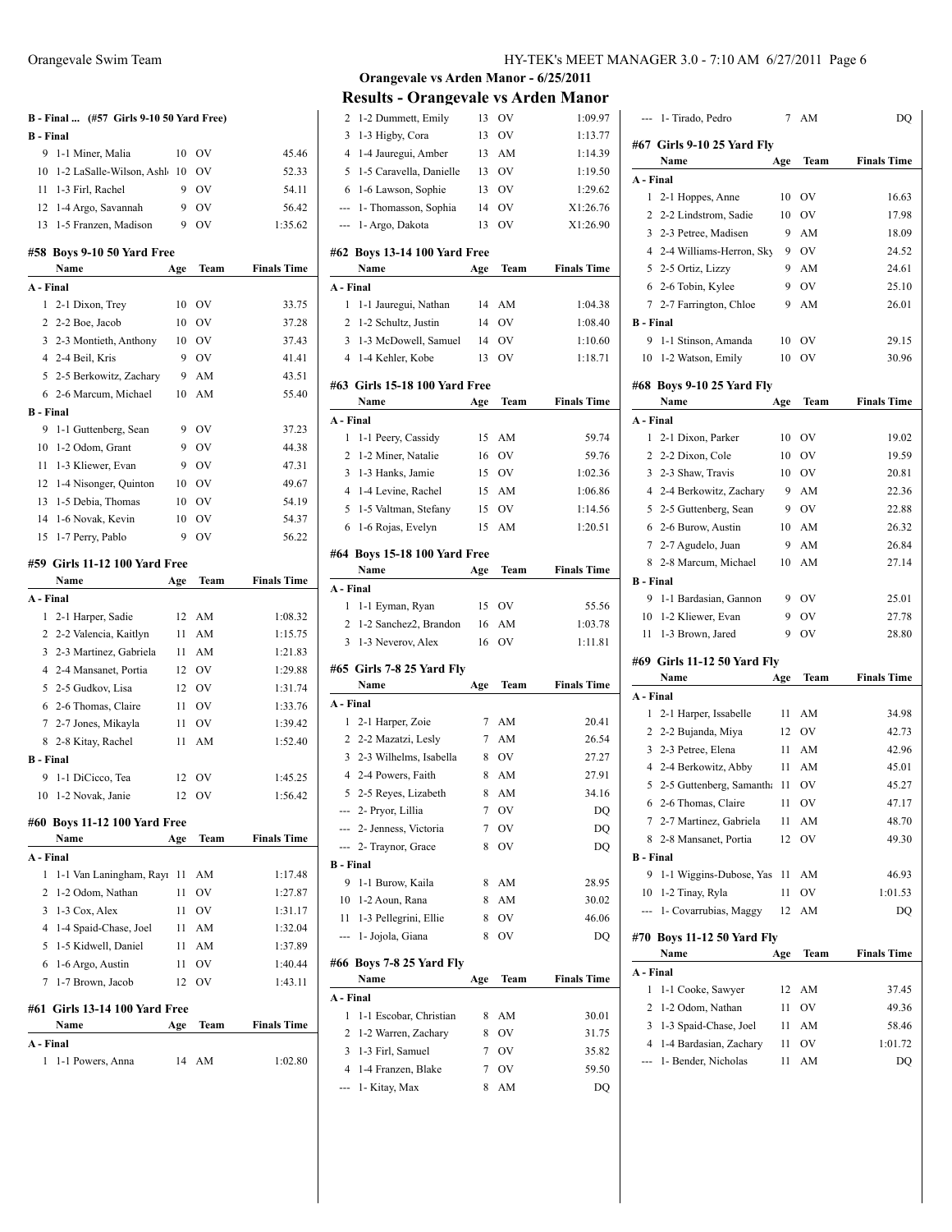| <b>B</b> - Final | B - Final  (#57 Girls 9-10 50 Yard Free) |     |               |                    |
|------------------|------------------------------------------|-----|---------------|--------------------|
| 9                | 1-1 Miner, Malia                         | 10  | OV            | 45.46              |
| 10               | 1-2 LaSalle-Wilson, Ashl                 | 10  | OV            | 52.33              |
| 11               | 1-3 Firl, Rachel                         | 9   | OV            | 54.11              |
| 12               | 1-4 Argo, Savannah                       | 9   | OV            | 56.42              |
| 13               | 1-5 Franzen, Madison                     | 9   | <b>OV</b>     | 1:35.62            |
|                  |                                          |     |               |                    |
|                  | #58 Boys 9-10 50 Yard Free<br>Name       | Age | Team          | <b>Finals Time</b> |
| A - Final        |                                          |     |               |                    |
| 1                | 2-1 Dixon, Trey                          | 10  | OV            | 33.75              |
| 2                | 2-2 Boe, Jacob                           | 10  | OV            | 37.28              |
| 3                | 2-3 Montieth, Anthony                    | 10  | <sub>OV</sub> | 37.43              |
|                  | 4 2-4 Beil, Kris                         | 9   | <b>OV</b>     | 41.41              |
|                  | 5 2-5 Berkowitz, Zachary                 | 9   | AM            | 43.51              |
|                  | 6 2-6 Marcum, Michael                    | 10  | AM            | 55.40              |
| <b>B</b> - Final |                                          |     |               |                    |
| 9                | 1-1 Guttenberg, Sean                     | 9   | OV            | 37.23              |
| 10               | 1-2 Odom, Grant                          | 9   | OV            | 44.38              |
| 11               | 1-3 Kliewer, Evan                        | 9   | OV            | 47.31              |
| 12               | 1-4 Nisonger, Quinton                    | 10  | OV            | 49.67              |
| 13               | 1-5 Debia. Thomas                        | 10  | OV            | 54.19              |
| 14               | 1-6 Novak, Kevin                         | 10  | OV            | 54.37              |
| 15               | 1-7 Perry, Pablo                         | 9   | OV            | 56.22              |
|                  | #59 Girls 11-12 100 Yard Free<br>Name    | Age | Team          | <b>Finals Time</b> |
| A - Final        |                                          |     |               |                    |
| 1                | 2-1 Harper, Sadie                        | 12  | AM            | 1:08.32            |
|                  | 2 2-2 Valencia, Kaitlyn                  | 11  | AM            | 1:15.75            |
|                  | 3 2-3 Martinez, Gabriela                 | 11  |               |                    |
|                  |                                          |     | AM            | 1:21.83            |
|                  | 4 2-4 Mansanet, Portia                   | 12  | OV            | 1:29.88            |
|                  | 5 2-5 Gudkov, Lisa                       | 12  | OV            | 1:31.74            |
| 6                | 2-6 Thomas, Claire                       | 11  | OV            | 1:33.76            |
|                  | 7 2-7 Jones, Mikayla                     | 11  | OV            | 1:39.42            |
| 8                | 2-8 Kitay, Rachel                        | 11  | AM            | 1:52.40            |
| <b>B</b> - Final |                                          |     |               |                    |
| 9                | 1-1 DiCicco, Tea                         | 12  | <b>OV</b>     | 1:45.25            |
|                  | 10 1-2 Novak, Janie                      |     | 12 OV         | 1:56.42            |
|                  | #60 Boys 11-12 100 Yard Free             |     |               |                    |
|                  | Name                                     | Age | Team          | <b>Finals Time</b> |
| A - Final        |                                          |     |               |                    |
| 1                | 1-1 Van Laningham, Rayı                  | 11  | AM            | 1:17.48            |
| 2                | 1-2 Odom, Nathan                         | 11  | OV            | 1:27.87            |
| 3                | 1-3 Cox, Alex                            | 11  | OV            | 1:31.17            |
| 4                | 1-4 Spaid-Chase, Joel                    | 11  | AM            | 1:32.04            |
| 5                | 1-5 Kidwell, Daniel                      | 11  | AM            | 1:37.89            |
| 6                | 1-6 Argo, Austin                         | 11  | OV            | 1:40.44            |
| 7                | 1-7 Brown, Jacob                         | 12  | OV            | 1:43.11            |
|                  | #61 Girls 13-14 100 Yard Free            |     |               |                    |
|                  | Name                                     | Age | Team          | <b>Finals Time</b> |
| A - Final        |                                          |     |               |                    |

| 2                | 1-2 Dummett, Emily                    | 13             | OV            | 1:09.97            |
|------------------|---------------------------------------|----------------|---------------|--------------------|
| 3                | 1-3 Higby, Cora                       | 13             | OV            | 1:13.77            |
| 4                | 1-4 Jauregui, Amber                   | 13             | AM            | 1:14.39            |
| 5                | 1-5 Caravella, Danielle               | 13             | OV            | 1:19.50            |
| 6                | 1-6 Lawson, Sophie                    | 13             | OV            | 1:29.62            |
| ---              | 1- Thomasson, Sophia                  | 14             | OV            | X1:26.76           |
| ---              | 1- Argo, Dakota                       | 13             | OV            | X1:26.90           |
|                  | #62 Boys 13-14 100 Yard Free          |                |               |                    |
|                  | Name                                  | Age            | Team          | <b>Finals Time</b> |
| A - Final        |                                       |                |               |                    |
| 1                | 1-1 Jauregui, Nathan                  | 14             | AM            | 1:04.38            |
| 2                | 1-2 Schultz, Justin                   | 14             | OV            | 1:08.40            |
| 3                | 1-3 McDowell, Samuel                  | 14             | OV            | 1:10.60            |
| 4                | 1-4 Kehler, Kobe                      | 13             | OV            | 1:18.71            |
|                  |                                       |                |               |                    |
|                  | #63 Girls 15-18 100 Yard Free<br>Name |                | Team          | <b>Finals Time</b> |
| A - Final        |                                       | Age            |               |                    |
| 1                | 1-1 Peery, Cassidy                    | 15             | AM            | 59.74              |
| 2                | 1-2 Miner, Natalie                    | 16             | OV            | 59.76              |
| 3                | 1-3 Hanks, Jamie                      | 15             | <sub>OV</sub> | 1:02.36            |
| 4                | 1-4 Levine, Rachel                    | 15             | AM            | 1:06.86            |
| 5                | 1-5 Valtman, Stefany                  | 15             | OV            | 1:14.56            |
| 6                | 1-6 Rojas, Evelyn                     | 15             | AM            | 1:20.51            |
|                  |                                       |                |               |                    |
|                  | #64 Boys 15-18 100 Yard Free          |                |               |                    |
|                  | Name                                  | Age            | Team          | <b>Finals Time</b> |
| A - Final        |                                       |                |               |                    |
| 1                | 1-1 Eyman, Ryan                       | 15             | OV            | 55.56              |
|                  |                                       |                |               |                    |
| 2                | 1-2 Sanchez2, Brandon                 | 16             | AM            | 1:03.78            |
| 3                | 1-3 Neverov, Alex                     | 16             | OV            | 1:11.81            |
|                  | #65   Girls 7-8 25 Yard Fly           |                |               |                    |
|                  | Name                                  | Age            | Team          | <b>Finals Time</b> |
| A - Final        |                                       |                |               |                    |
| 1                | 2-1 Harper, Zoie                      | 7              | AM            | 20.41              |
|                  | 2 2-2 Mazatzi, Lesly                  | 7              | AM            | 26.54              |
| 3                | 2-3 Wilhelms, Isabella                | 8              | <b>OV</b>     | 27.27              |
| 4                | 2-4 Powers, Faith                     | 8              | AM            | 27.91              |
| 5                | 2-5 Reyes, Lizabeth                   | 8              | AM            | 34.16              |
|                  | 2- Pryor, Lillia                      | $\overline{7}$ | OV            | DQ                 |
|                  | --- 2- Jenness, Victoria              | 7              | OV            | DQ                 |
| ---              | 2- Traynor, Grace                     | 8              | OV            | DQ                 |
| <b>B</b> - Final |                                       |                |               |                    |
| 9                | 1-1 Burow, Kaila                      | 8              | AM            | 28.95              |
| 10               | 1-2 Aoun, Rana                        | 8              | AM            | 30.02              |
| 11               | 1-3 Pellegrini, Ellie                 | 8              | OV            | 46.06              |
| ---              | 1- Jojola, Giana                      | 8              | OV            | DQ                 |
|                  |                                       |                |               |                    |
|                  | #66 Boys 7-8 25 Yard Fly<br>Name      | Age            | Team          | <b>Finals Time</b> |
| A - Final        |                                       |                |               |                    |
| 1                | 1-1 Escobar, Christian                | 8              | AM            | 30.01              |
| 2                | 1-2 Warren, Zachary                   | 8              | OV            | 31.75              |
| 3                | 1-3 Firl, Samuel                      | 7              | OV            | 35.82              |
| 4                | 1-4 Franzen, Blake                    | 7              | OV            | 59.50              |
| ---              | 1- Kitay, Max                         | 8              | AM            | DQ                 |

|                  | --- 1- Tirado, Pedro               | 7   | AM          | DQ                 |
|------------------|------------------------------------|-----|-------------|--------------------|
|                  | #67 Girls 9-10 25 Yard Fly         |     |             |                    |
|                  | Name                               | Age | Team        | <b>Finals Time</b> |
| A - Final        |                                    |     |             |                    |
| 1                | 2-1 Hoppes, Anne                   | 10  | OV          | 16.63              |
| 2                | 2-2 Lindstrom, Sadie               | 10  | OV          | 17.98              |
| 3                | 2-3 Petree, Madisen                | 9   | AM          | 18.09              |
| 4                | 2-4 Williams-Herron, Sky           | 9   | OV          | 24.52              |
| 5                | 2-5 Ortiz, Lizzy                   | 9   | AM          | 24.61              |
| 6                | 2-6 Tobin, Kylee                   | 9   | OV          | 25.10              |
| 7                | 2-7 Farrington, Chloe              | 9   | AM          | 26.01              |
| <b>B</b> - Final |                                    |     |             |                    |
| 9                | 1-1 Stinson, Amanda                | 10  | OV          | 29.15              |
| 10               | 1-2 Watson, Emily                  | 10  | OV          | 30.96              |
|                  | #68 Boys 9-10 25 Yard Fly          |     |             |                    |
|                  | Name                               | Age | Team        | <b>Finals Time</b> |
| A - Final        |                                    |     |             |                    |
| 1                | 2-1 Dixon, Parker                  | 10  | OV          | 19.02              |
| 2                | 2-2 Dixon, Cole                    | 10  | ov          | 19.59              |
| 3                | 2-3 Shaw, Travis                   | 10  | OV          | 20.81              |
| 4                | 2-4 Berkowitz, Zachary             | 9   | AM          | 22.36              |
| 5                | 2-5 Guttenberg, Sean               | 9   | <b>OV</b>   | 22.88              |
| 6                | 2-6 Burow, Austin                  | 10  | AM          | 26.32              |
| 7                | 2-7 Agudelo, Juan                  | 9   | AM          | 26.84              |
| 8                | 2-8 Marcum, Michael                | 10  | AM          | 27.14              |
| B - Final        |                                    |     |             |                    |
| 9                | 1-1 Bardasian, Gannon              | 9   | OV          | 25.01              |
| 10               | 1-2 Kliewer, Evan                  | 9   | OV          | 27.78              |
| 11               | 1-3 Brown, Jared                   | 9   | OV          | 28.80              |
|                  | #69 Girls 11-12 50 Yard Fly        |     |             |                    |
|                  | Name                               | Age | Team        | <b>Finals Time</b> |
| A - Final        |                                    |     |             |                    |
| 1                | 2-1 Harper, Issabelle              | 11  | AM          | 34.98              |
| 2                | 2-2 Bujanda, Miya                  | 12  | OV          | 42.73              |
| 3                | 2-3 Petree, Elena                  | 11  | AM          | 42.96              |
| 4                | 2-4 Berkowitz, Abby                | 11  | AM          | 45.01              |
| 5                | 2-5 Guttenberg, Samantha           | 11  | OV          | 45.27              |
| 6                | 2-6 Thomas, Claire                 | 11  | OV          | 47.17              |
| 7                | 2-7 Martinez, Gabriela             | 11  | AM          | 48.70              |
| 8                | 2-8 Mansanet, Portia               | 12  | OV          | 49.30              |
| <b>B</b> - Final |                                    |     |             |                    |
| 9                | 1-1 Wiggins-Dubose, Yas            | 11  | AM          | 46.93              |
| 10               | 1-2 Tinay, Ryla                    | 11  | OV          | 1:01.53            |
|                  | 1- Covarrubias, Maggy              | 12  | AM          | DQ                 |
|                  | #70 Boys 11-12 50 Yard Fly<br>Name | Age | <b>Team</b> | <b>Finals Time</b> |
| A - Final        |                                    |     |             |                    |
| 1                | 1-1 Cooke, Sawyer                  | 12  | AM          | 37.45              |
| 2                | 1-2 Odom, Nathan                   | 11  | OV          | 49.36              |
| 3                | 1-3 Spaid-Chase, Joel              | 11  | AM          | 58.46              |
| 4                | 1-4 Bardasian, Zachary             | 11  | OV          | 1:01.72            |
|                  | 1- Bender, Nicholas                | 11  | AM          | DQ                 |
|                  |                                    |     |             |                    |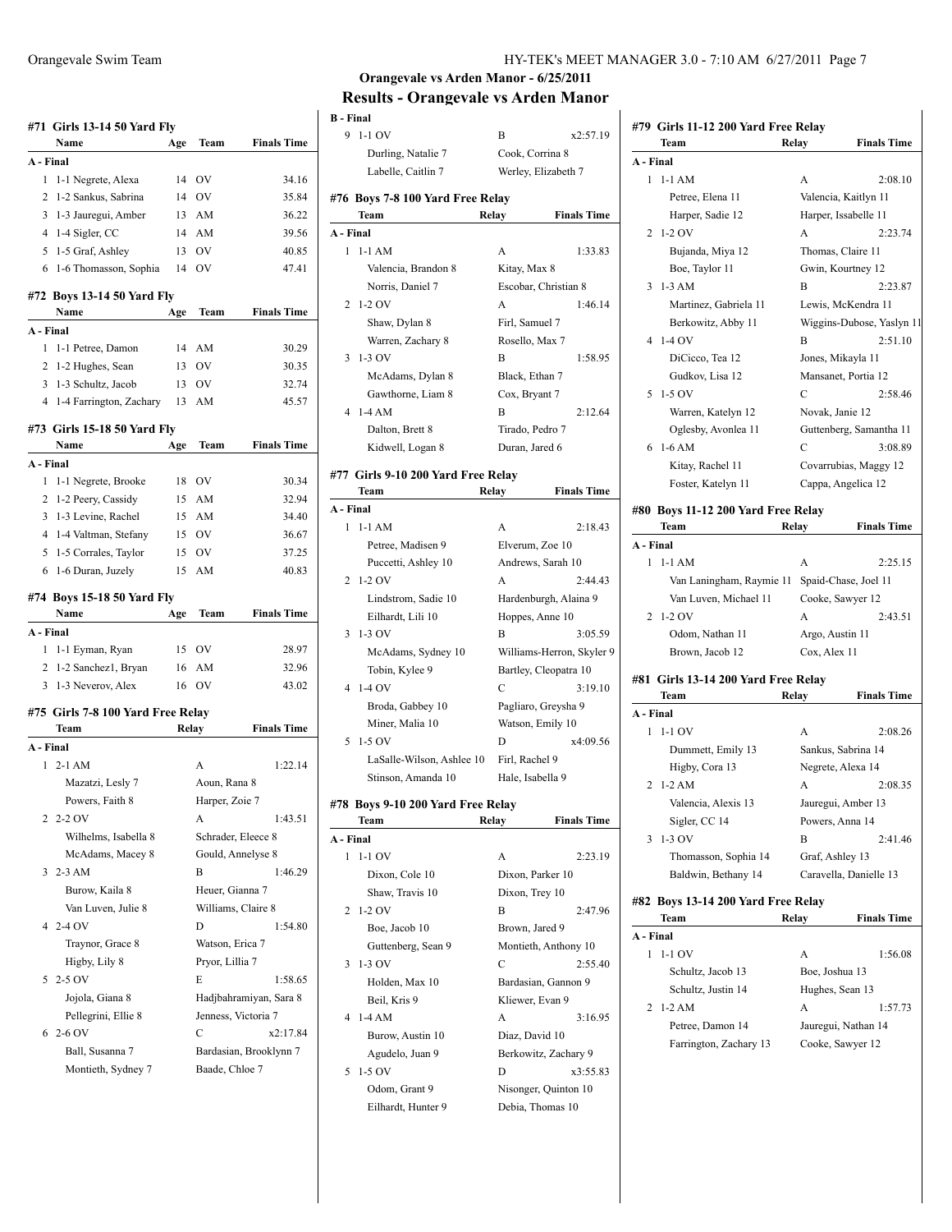|                | #71 Girls 13-14 50 Yard Fly               |     |                                         |                        |
|----------------|-------------------------------------------|-----|-----------------------------------------|------------------------|
|                | Name                                      | Age | Team                                    | <b>Finals Time</b>     |
| A - Final      |                                           |     |                                         |                        |
| 1              | 1-1 Negrete, Alexa                        | 14  | OV                                      | 34.16                  |
| 2              | 1-2 Sankus, Sabrina                       | 14  | <b>OV</b>                               | 35.84                  |
|                | 3 1-3 Jauregui, Amber                     | 13  | AM                                      | 36.22                  |
|                | 4 1-4 Sigler, CC                          | 14  | AM                                      | 39.56                  |
|                | 5 1-5 Graf, Ashley                        | 13  | OV                                      | 40.85                  |
| 6              | 1-6 Thomasson, Sophia                     | 14  | OV                                      | 47.41                  |
|                | #72 Boys 13-14 50 Yard Fly<br>Name        | Age | Team                                    | <b>Finals Time</b>     |
| A - Final      |                                           |     |                                         |                        |
| 1              | 1-1 Petree, Damon                         | 14  | AM                                      | 30.29                  |
|                | 2 1-2 Hughes, Sean                        | 13  | <b>OV</b>                               | 30.35                  |
|                | 3 1-3 Schultz, Jacob                      | 13  | OV                                      | 32.74                  |
| $\overline{4}$ | 1-4 Farrington, Zachary                   | 13  | AM                                      | 45.57                  |
|                | #73 Girls 15-18 50 Yard Fly               |     |                                         |                        |
|                | Name                                      | Age | Team                                    | <b>Finals Time</b>     |
| A - Final      |                                           |     |                                         |                        |
| 1              | 1-1 Negrete, Brooke                       | 18  | - OV                                    | 30.34                  |
| 2              | 1-2 Peery, Cassidy                        | 15  | AM                                      | 32.94                  |
| 3              | 1-3 Levine, Rachel                        | 15  | AM                                      | 34.40                  |
|                | 4 1-4 Valtman, Stefany                    | 15  | - OV                                    | 36.67                  |
| 5              | 1-5 Corrales, Taylor                      | 15  | <b>OV</b>                               | 37.25                  |
| 6              | 1-6 Duran, Juzely                         | 15  | AM                                      | 40.83                  |
|                | #74 Boys 15-18 50 Yard Fly<br>Name        | Age | Team                                    | <b>Finals Time</b>     |
| A - Final      |                                           |     |                                         |                        |
| 1              | 1-1 Eyman, Ryan                           |     | 15 OV                                   | 28.97                  |
|                | 2 1-2 Sanchez1, Bryan                     | 16  | AM                                      | 32.96                  |
|                | 3 1-3 Neverov, Alex                       | 16  | OV                                      | 43.02                  |
|                |                                           |     |                                         |                        |
|                |                                           |     |                                         |                        |
|                | #75 Girls 7-8 100 Yard Free Relay<br>Team |     | Relay                                   | <b>Finals Time</b>     |
| A - Final      |                                           |     |                                         |                        |
| 1              | $2-1$ AM                                  |     | A                                       | 1:22.14                |
|                | Mazatzi, Lesly 7                          |     | Aoun, Rana 8                            |                        |
|                | Powers, Faith 8                           |     | Harper, Zoie 7                          |                        |
| 2              | $2-2$ OV                                  |     | А                                       | 1:43.51                |
|                |                                           |     |                                         |                        |
|                | Wilhelms, Isabella 8                      |     | Schrader, Eleece 8<br>Gould, Annelyse 8 |                        |
| 3              | McAdams, Macey 8<br>$2-3$ AM              |     | В                                       | 1:46.29                |
|                |                                           |     |                                         |                        |
|                | Burow, Kaila 8                            |     | Heuer, Gianna 7                         |                        |
| 4              | Van Luven, Julie 8<br>2-4 OV              |     | Williams, Claire 8<br>D                 | 1:54.80                |
|                |                                           |     | Watson, Erica 7                         |                        |
|                | Traynor, Grace 8                          |     |                                         |                        |
| 5              | Higby, Lily 8<br>2-5 OV                   |     | Pryor, Lillia 7<br>E                    | 1:58.65                |
|                |                                           |     |                                         |                        |
|                | Jojola, Giana 8                           |     |                                         | Hadjbahramiyan, Sara 8 |
| 6              | Pellegrini, Ellie 8<br>2-6 OV             |     | Jenness, Victoria 7<br>C                | x2:17.84               |
|                |                                           |     |                                         |                        |
|                | Ball, Susanna 7<br>Montieth, Sydney 7     |     | Baade, Chloe 7                          | Bardasian, Brooklynn 7 |

| HY-TEK's MEET MANAGER 3.0 - 7:10 AM 6/27/2011 Page 7 |  |  |
|------------------------------------------------------|--|--|
|------------------------------------------------------|--|--|

**#79 Girls 11-12 200 Yard Free Relay**

### **Orangevale vs Arden Manor - 6/25/2011 Results - Orangevale vs Arden Manor**

| <b>B</b> - Final |                                      |                      |                           |
|------------------|--------------------------------------|----------------------|---------------------------|
| 9                | $1-1$ OV                             | В                    | x2:57.19                  |
|                  | Durling, Natalie 7                   | Cook, Corrina 8      |                           |
|                  | Labelle, Caitlin 7                   | Werley, Elizabeth 7  |                           |
|                  |                                      |                      |                           |
|                  | #76 Boys 7-8 100 Yard Free Relay     |                      |                           |
|                  | Team                                 | Relay                | <b>Finals Time</b>        |
| A - Final        |                                      |                      |                           |
| 1                | $1-1 AM$                             | A                    | 1:33.83                   |
|                  | Valencia, Brandon 8                  | Kitay, Max 8         |                           |
|                  | Norris, Daniel 7                     | Escobar, Christian 8 |                           |
| 2                | $1-2$ OV                             | A                    | 1:46.14                   |
|                  | Shaw, Dylan 8                        | Firl, Samuel 7       |                           |
|                  | Warren, Zachary 8                    | Rosello, Max 7       |                           |
| 3                | $1-3$ OV                             | В                    | 1:58.95                   |
|                  | McAdams, Dylan 8                     | Black, Ethan 7       |                           |
|                  | Gawthorne, Liam 8                    | Cox, Bryant 7        |                           |
| 4                | $1-4AM$                              | В                    | 2:12.64                   |
|                  | Dalton, Brett 8                      | Tirado, Pedro 7      |                           |
|                  | Kidwell, Logan 8                     | Duran, Jared 6       |                           |
|                  | #77  Girls 9-10 200 Yard Free Relay  |                      |                           |
|                  | Team                                 | Relay                | <b>Finals Time</b>        |
| A - Final        |                                      |                      |                           |
| $\mathbf{1}$     | $1-1 AM$                             | A                    | 2:18.43                   |
|                  | Petree, Madisen 9                    | Elverum, Zoe 10      |                           |
|                  | Puccetti, Ashley 10                  | Andrews, Sarah 10    |                           |
| 2                | $1-2$ OV                             | А                    | 2:44.43                   |
|                  | Lindstrom, Sadie 10                  |                      | Hardenburgh, Alaina 9     |
|                  | Eilhardt, Lili 10                    | Hoppes, Anne 10      |                           |
| 3                | $1-3$ OV                             | В                    | 3:05.59                   |
|                  | McAdams, Sydney 10                   |                      | Williams-Herron, Skyler 9 |
|                  | Tobin, Kylee 9                       |                      | Bartley, Cleopatra 10     |
| 4                | $1-4$ OV                             | С                    | 3:19.10                   |
|                  | Broda, Gabbey 10                     | Pagliaro, Greysha 9  |                           |
|                  | Miner, Malia 10                      | Watson, Emily 10     |                           |
| 5                | 1-5 OV                               | D                    | x4:09.56                  |
|                  | LaSalle-Wilson, Ashlee 10            | Firl, Rachel 9       |                           |
|                  | Stinson, Amanda 10                   | Hale, Isabella 9     |                           |
|                  |                                      |                      |                           |
| #78              | <b>Boys 9-10 200 Yard Free Relay</b> |                      |                           |
|                  | Team                                 | Relay                | <b>Finals Time</b>        |
| A - Final        |                                      |                      |                           |
| 1                | $1-1$ OV                             | А                    | 2:23.19                   |
|                  | Dixon, Cole 10                       | Dixon, Parker 10     |                           |
|                  | Shaw, Travis 10                      | Dixon, Trey 10       |                           |
| 2                | $1-2$ OV                             | В                    | 2:47.96                   |
|                  | Boe, Jacob 10                        | Brown, Jared 9       |                           |
|                  | Guttenberg, Sean 9                   |                      | Montieth, Anthony 10      |
| 3                | $1-3$ OV                             | C                    | 2:55.40                   |
|                  | Holden, Max 10                       |                      | Bardasian, Gannon 9       |
|                  | Beil, Kris 9                         | Kliewer, Evan 9      |                           |
| 4                | $1-4AM$                              | А                    | 3:16.95                   |
|                  | Burow, Austin 10                     | Diaz, David 10       |                           |
|                  | Agudelo, Juan 9                      |                      | Berkowitz, Zachary 9      |
| 5                | $1-5$ OV                             | D                    | x3:55.83                  |
|                  | Odom, Grant 9                        |                      | Nisonger, Quinton 10      |

Eilhardt, Hunter 9 Debia, Thomas 10

| Team                                          | Relay           | <b>Finals Time</b>        |
|-----------------------------------------------|-----------------|---------------------------|
| A - Final                                     |                 |                           |
| $1-1$ AM<br>1                                 | А               | 2:08.10                   |
| Petree, Elena 11                              |                 | Valencia, Kaitlyn 11      |
| Harper, Sadie 12                              |                 | Harper, Issabelle 11      |
| $1-2$ OV<br>2                                 | A               | 2:23.74                   |
| Bujanda, Miya 12                              |                 | Thomas, Claire 11         |
| Boe, Taylor 11                                |                 | Gwin, Kourtney 12         |
| $1-3$ AM<br>3                                 | В               | 2:23.87                   |
| Martinez, Gabriela 11                         |                 | Lewis, McKendra 11        |
| Berkowitz, Abby 11                            |                 | Wiggins-Dubose, Yaslyn 11 |
| 1-4 OV<br>4                                   | B               | 2:51.10                   |
| DiCicco, Tea 12                               |                 | Jones, Mikayla 11         |
| Gudkov, Lisa 12                               |                 | Mansanet, Portia 12       |
| 5 1-5 OV                                      | C               | 2:58.46                   |
| Warren, Katelyn 12                            | Novak, Janie 12 |                           |
| Oglesby, Avonlea 11                           |                 | Guttenberg, Samantha 11   |
| $1-6 AM$<br>6                                 | С               | 3:08.89                   |
| Kitay, Rachel 11                              |                 | Covarrubias, Maggy 12     |
| Foster, Katelyn 11                            |                 | Cappa, Angelica 12        |
|                                               |                 |                           |
| #80 Boys 11-12 200 Yard Free Relay            |                 |                           |
| Team                                          | Relay           | <b>Finals Time</b>        |
| A - Final                                     |                 |                           |
| $1-1$ AM<br>1                                 | А               | 2:25.15                   |
| Van Laningham, Raymie 11 Spaid-Chase, Joel 11 |                 |                           |
| Van Luven, Michael 11                         |                 | Cooke, Sawyer 12          |
| $1-2$ OV<br>2                                 | А               | 2:43.51                   |
| Odom, Nathan 11                               | Argo, Austin 11 |                           |
| Brown, Jacob 12                               | Cox, Alex 11    |                           |
| #81 Girls 13-14 200 Yard Free Relay           |                 |                           |
| Team                                          | Relay           | <b>Finals Time</b>        |
| A - Final                                     |                 |                           |
| $1-1$ OV<br>1                                 | A               | 2:08.26                   |
| Dummett, Emily 13                             |                 | Sankus, Sabrina 14        |
| Higby, Cora 13                                |                 | Negrete, Alexa 14         |
| 2 1-2 AM                                      | A               | 2:08.35                   |
| Valencia, Alexis 13                           |                 | Jauregui, Amber 13        |
|                                               |                 |                           |
| Sigler, CC 14<br>$3 - 1 - 3$ OV               |                 | Powers, Anna 14           |
|                                               | В               | 2:41.46                   |
| Thomasson, Sophia 14                          | Graf, Ashley 13 |                           |
| Baldwin, Bethany 14                           |                 | Caravella, Danielle 13    |
| #82 Boys 13-14 200 Yard Free Relay            |                 |                           |
| Team                                          | Relay           | <b>Finals Time</b>        |
| A - Final                                     |                 |                           |
| 1-1 OV<br>1                                   | А               | 1:56.08                   |
| Schultz, Jacob 13                             | Boe, Joshua 13  |                           |
| Schultz, Justin 14                            |                 | Hughes, Sean 13           |
| 2<br>1-2 AM                                   | А               | 1:57.73                   |
| Petree, Damon 14                              |                 | Jauregui, Nathan 14       |
| Farrington, Zachary 13                        |                 |                           |
|                                               |                 | Cooke, Sawyer 12          |
|                                               |                 |                           |
|                                               |                 |                           |